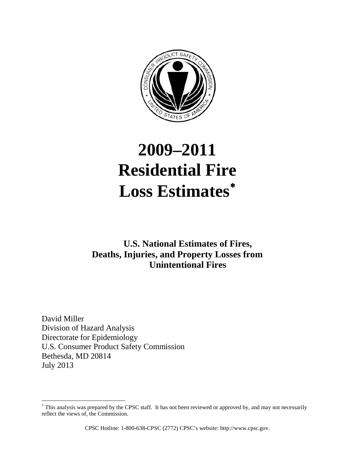

# **2009–2011 Residential Fire Loss Estimates**[∗](#page-0-0)

## **U.S. National Estimates of Fires, Deaths, Injuries, and Property Losses from Unintentional Fires**

David Miller Division of Hazard Analysis Directorate for Epidemiology U.S. Consumer Product Safety Commission Bethesda, MD 20814 July 2013

 $\overline{a}$ 

CPSC Hotline: 1-800-638-CPSC (2772) CPSC's website: http://www.cpsc.gov.

<span id="page-0-0"></span><sup>∗</sup> This analysis was prepared by the CPSC staff. It has not been reviewed or approved by, and may not necessarily reflect the views of, the Commission.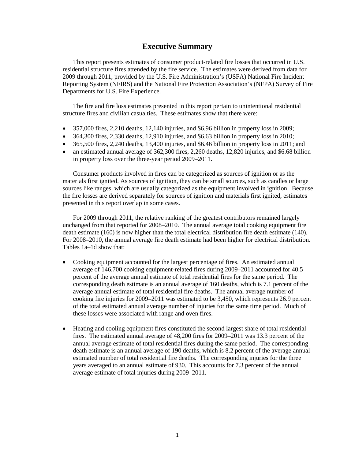#### **Executive Summary**

This report presents estimates of consumer product-related fire losses that occurred in U.S. residential structure fires attended by the fire service. The estimates were derived from data for 2009 through 2011, provided by the U.S. Fire Administration's (USFA) National Fire Incident Reporting System (NFIRS) and the National Fire Protection Association's (NFPA) Survey of Fire Departments for U.S. Fire Experience.

The fire and fire loss estimates presented in this report pertain to unintentional residential structure fires and civilian casualties. These estimates show that there were:

- $\bullet$  357,000 fires, 2,210 deaths, 12,140 injuries, and \$6.96 billion in property loss in 2009;
- 364,300 fires, 2,330 deaths, 12,910 injuries, and \$6.63 billion in property loss in 2010;
- $\bullet$  365,500 fires, 2,240 deaths, 13,400 injuries, and \$6.46 billion in property loss in 2011; and
- an estimated annual average of 362,300 fires, 2,260 deaths, 12,820 injuries, and \$6.68 billion in property loss over the three-year period 2009–2011.

 Consumer products involved in fires can be categorized as sources of ignition or as the materials first ignited. As sources of ignition, they can be small sources, such as candles or large sources like ranges, which are usually categorized as the equipment involved in ignition. Because the fire losses are derived separately for sources of ignition and materials first ignited, estimates presented in this report overlap in some cases.

For 2009 through 2011, the relative ranking of the greatest contributors remained largely unchanged from that reported for 2008–2010. The annual average total cooking equipment fire death estimate (160) is now higher than the total electrical distribution fire death estimate (140). For 2008–2010, the annual average fire death estimate had been higher for electrical distribution. Tables 1a–1d show that:

- Cooking equipment accounted for the largest percentage of fires. An estimated annual average of 146,700 cooking equipment-related fires during 2009–2011 accounted for 40.5 percent of the average annual estimate of total residential fires for the same period. The corresponding death estimate is an annual average of 160 deaths, which is 7.1 percent of the average annual estimate of total residential fire deaths. The annual average number of cooking fire injuries for 2009–2011 was estimated to be 3,450, which represents 26.9 percent of the total estimated annual average number of injuries for the same time period. Much of these losses were associated with range and oven fires.
- Heating and cooling equipment fires constituted the second largest share of total residential fires. The estimated annual average of 48,200 fires for 2009–2011 was 13.3 percent of the annual average estimate of total residential fires during the same period. The corresponding death estimate is an annual average of 190 deaths, which is 8.2 percent of the average annual estimated number of total residential fire deaths. The corresponding injuries for the three years averaged to an annual estimate of 930. This accounts for 7.3 percent of the annual average estimate of total injuries during 2009–2011.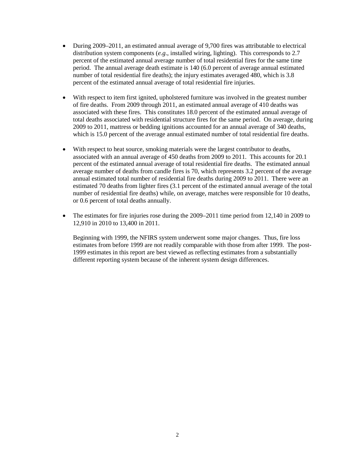- During 2009–2011, an estimated annual average of 9,700 fires was attributable to electrical distribution system components (*e.g*., installed wiring, lighting). This corresponds to 2.7 percent of the estimated annual average number of total residential fires for the same time period. The annual average death estimate is 140 (6.0 percent of average annual estimated number of total residential fire deaths); the injury estimates averaged 480, which is 3.8 percent of the estimated annual average of total residential fire injuries.
- With respect to item first ignited, upholstered furniture was involved in the greatest number of fire deaths. From 2009 through 2011, an estimated annual average of 410 deaths was associated with these fires. This constitutes 18.0 percent of the estimated annual average of total deaths associated with residential structure fires for the same period. On average, during 2009 to 2011, mattress or bedding ignitions accounted for an annual average of 340 deaths, which is 15.0 percent of the average annual estimated number of total residential fire deaths.
- With respect to heat source, smoking materials were the largest contributor to deaths, associated with an annual average of 450 deaths from 2009 to 2011. This accounts for 20.1 percent of the estimated annual average of total residential fire deaths. The estimated annual average number of deaths from candle fires is 70, which represents 3.2 percent of the average annual estimated total number of residential fire deaths during 2009 to 2011. There were an estimated 70 deaths from lighter fires (3.1 percent of the estimated annual average of the total number of residential fire deaths) while, on average, matches were responsible for 10 deaths, or 0.6 percent of total deaths annually.
- The estimates for fire injuries rose during the 2009–2011 time period from 12,140 in 2009 to 12,910 in 2010 to 13,400 in 2011.

Beginning with 1999, the NFIRS system underwent some major changes. Thus, fire loss estimates from before 1999 are not readily comparable with those from after 1999. The post-1999 estimates in this report are best viewed as reflecting estimates from a substantially different reporting system because of the inherent system design differences.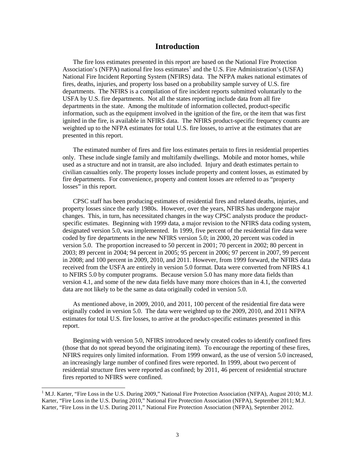#### **Introduction**

The fire loss estimates presented in this report are based on the National Fire Protection Association's (NFPA) national fire loss estimates<sup>[1](#page-3-0)</sup> and the U.S. Fire Administration's (USFA) National Fire Incident Reporting System (NFIRS) data. The NFPA makes national estimates of fires, deaths, injuries, and property loss based on a probability sample survey of U.S. fire departments. The NFIRS is a compilation of fire incident reports submitted voluntarily to the USFA by U.S. fire departments. Not all the states reporting include data from all fire departments in the state. Among the multitude of information collected, product-specific information, such as the equipment involved in the ignition of the fire, or the item that was first ignited in the fire, is available in NFIRS data. The NFIRS product-specific frequency counts are weighted up to the NFPA estimates for total U.S. fire losses, to arrive at the estimates that are presented in this report.

The estimated number of fires and fire loss estimates pertain to fires in residential properties only. These include single family and multifamily dwellings. Mobile and motor homes, while used as a structure and not in transit, are also included. Injury and death estimates pertain to civilian casualties only. The property losses include property and content losses, as estimated by fire departments. For convenience, property and content losses are referred to as "property losses" in this report.

CPSC staff has been producing estimates of residential fires and related deaths, injuries, and property losses since the early 1980s. However, over the years, NFIRS has undergone major changes. This, in turn, has necessitated changes in the way CPSC analysts produce the productspecific estimates. Beginning with 1999 data, a major revision to the NFIRS data coding system, designated version 5.0, was implemented. In 1999, five percent of the residential fire data were coded by fire departments in the new NFIRS version 5.0; in 2000, 20 percent was coded in version 5.0. The proportion increased to 50 percent in 2001; 70 percent in 2002; 80 percent in 2003; 89 percent in 2004; 94 percent in 2005; 95 percent in 2006; 97 percent in 2007, 99 percent in 2008; and 100 percent in 2009, 2010, and 2011. However, from 1999 forward, the NFIRS data received from the USFA are entirely in version 5.0 format. Data were converted from NFIRS 4.1 to NFIRS 5.0 by computer programs. Because version 5.0 has many more data fields than version 4.1, and some of the new data fields have many more choices than in 4.1, the converted data are not likely to be the same as data originally coded in version 5.0.

 As mentioned above, in 2009, 2010, and 2011, 100 percent of the residential fire data were originally coded in version 5.0. The data were weighted up to the 2009, 2010, and 2011 NFPA estimates for total U.S. fire losses, to arrive at the product-specific estimates presented in this report.

Beginning with version 5.0, NFIRS introduced newly created codes to identify confined fires (those that do not spread beyond the originating item). To encourage the reporting of these fires, NFIRS requires only limited information. From 1999 onward, as the use of version 5.0 increased, an increasingly large number of confined fires were reported. In 1999, about two percent of residential structure fires were reported as confined; by 2011, 46 percent of residential structure fires reported to NFIRS were confined.

<span id="page-3-0"></span> $<sup>1</sup>$  M.J. Karter, "Fire Loss in the U.S. During 2009," National Fire Protection Association (NFPA), August 2010; M.J.</sup> Karter, "Fire Loss in the U.S. During 2010," National Fire Protection Association (NFPA), September 2011; M.J. Karter, "Fire Loss in the U.S. During 2011," National Fire Protection Association (NFPA), September 2012.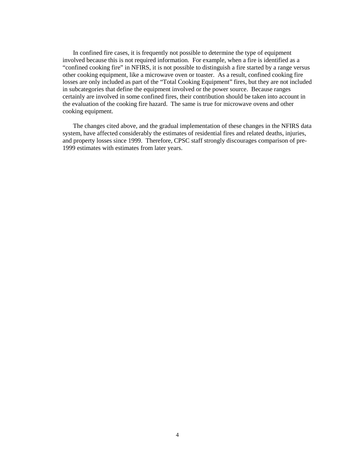In confined fire cases, it is frequently not possible to determine the type of equipment involved because this is not required information. For example, when a fire is identified as a "confined cooking fire" in NFIRS, it is not possible to distinguish a fire started by a range versus other cooking equipment, like a microwave oven or toaster. As a result, confined cooking fire losses are only included as part of the "Total Cooking Equipment" fires, but they are not included in subcategories that define the equipment involved or the power source. Because ranges certainly are involved in some confined fires, their contribution should be taken into account in the evaluation of the cooking fire hazard. The same is true for microwave ovens and other cooking equipment.

The changes cited above, and the gradual implementation of these changes in the NFIRS data system, have affected considerably the estimates of residential fires and related deaths, injuries, and property losses since 1999. Therefore, CPSC staff strongly discourages comparison of pre-1999 estimates with estimates from later years.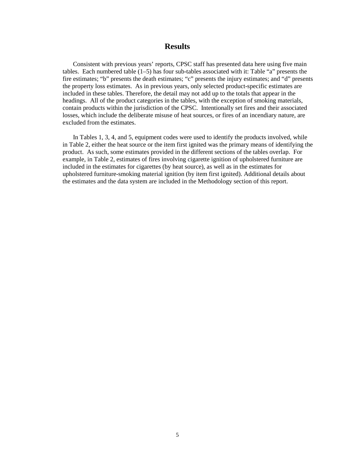#### **Results**

Consistent with previous years' reports, CPSC staff has presented data here using five main tables. Each numbered table (1–5) has four sub-tables associated with it: Table "a" presents the fire estimates; "b" presents the death estimates; "c" presents the injury estimates; and "d" presents the property loss estimates. As in previous years, only selected product-specific estimates are included in these tables. Therefore, the detail may not add up to the totals that appear in the headings. All of the product categories in the tables, with the exception of smoking materials, contain products within the jurisdiction of the CPSC. Intentionally set fires and their associated losses, which include the deliberate misuse of heat sources, or fires of an incendiary nature, are excluded from the estimates.

In Tables 1, 3, 4, and 5, equipment codes were used to identify the products involved, while in Table 2, either the heat source or the item first ignited was the primary means of identifying the product. As such, some estimates provided in the different sections of the tables overlap. For example, in Table 2, estimates of fires involving cigarette ignition of upholstered furniture are included in the estimates for cigarettes (by heat source), as well as in the estimates for upholstered furniture-smoking material ignition (by item first ignited). Additional details about the estimates and the data system are included in the Methodology section of this report.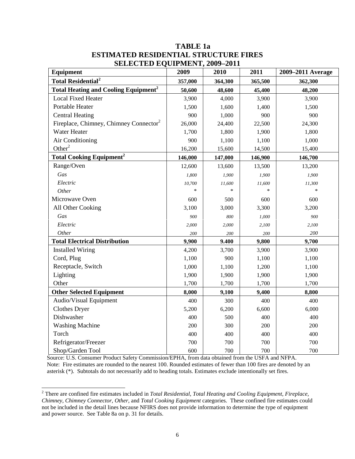| <b>Equipment</b>                                       | $\mathbf{v}$ . The distribution of $\mathbf{v}$<br>2009 | 2010    | 2011    | 2009-2011 Average |
|--------------------------------------------------------|---------------------------------------------------------|---------|---------|-------------------|
| <b>Total Residential<sup>2</sup></b>                   | 357,000                                                 | 364,300 | 365,500 | 362,300           |
| <b>Total Heating and Cooling Equipment<sup>2</sup></b> | 50,600                                                  | 48,600  | 45,400  | 48,200            |
| <b>Local Fixed Heater</b>                              | 3,900                                                   | 4,000   | 3,900   | 3,900             |
| Portable Heater                                        | 1,500                                                   | 1,600   | 1,400   | 1,500             |
| <b>Central Heating</b>                                 | 900                                                     | 1,000   | 900     | 900               |
| Fireplace, Chimney, Chimney Connector <sup>2</sup>     | 26,000                                                  | 24,400  | 22,500  | 24,300            |
| Water Heater                                           | 1,700                                                   | 1,800   | 1,900   | 1,800             |
| Air Conditioning                                       | 900                                                     | 1,100   | 1,100   | 1,000             |
| Other <sup>2</sup>                                     | 16,200                                                  | 15,600  | 14,500  | 15,400            |
| <b>Total Cooking Equipment<sup>2</sup></b>             | 146,000                                                 | 147,000 | 146,900 | 146,700           |
| Range/Oven                                             | 12,600                                                  | 13,600  | 13,500  | 13,200            |
| Gas                                                    | 1,800                                                   | 1,900   | 1,900   | 1,900             |
| Electric                                               | 10,700                                                  | 11,600  | 11,600  | 11,300            |
| Other                                                  | $\ast$                                                  | $\ast$  | $\ast$  | $\ast$            |
| Microwave Oven                                         | 600                                                     | 500     | 600     | 600               |
| All Other Cooking                                      | 3,100                                                   | 3,000   | 3,300   | 3,200             |
| Gas                                                    | 900                                                     | 800     | 1,000   | 900               |
| Electric                                               | 2,000                                                   | 2,000   | 2,100   | 2,100             |
| Other                                                  | 200                                                     | 200     | 200     | 200               |
| <b>Total Electrical Distribution</b>                   | 9,900                                                   | 9.400   | 9,800   | 9,700             |
| <b>Installed Wiring</b>                                | 4,200                                                   | 3,700   | 3,900   | 3,900             |
| Cord, Plug                                             | 1,100                                                   | 900     | 1,100   | 1,100             |
| Receptacle, Switch                                     | 1,000                                                   | 1,100   | 1,200   | 1,100             |
| Lighting                                               | 1,900                                                   | 1,900   | 1,900   | 1,900             |
| Other                                                  | 1,700                                                   | 1,700   | 1,700   | 1,700             |
| <b>Other Selected Equipment</b>                        | 8,000                                                   | 9,100   | 9,400   | 8,800             |
| Audio/Visual Equipment                                 | 400                                                     | 300     | 400     | 400               |
| <b>Clothes Dryer</b>                                   | 5,200                                                   | 6,200   | 6,600   | 6,000             |
| Dishwasher                                             | 400                                                     | 500     | 400     | 400               |
| <b>Washing Machine</b>                                 | 200                                                     | 300     | 200     | 200               |
| Torch                                                  | 400                                                     | 400     | 400     | 400               |
| Refrigerator/Freezer                                   | 700                                                     | 700     | 700     | 700               |
| Shop/Garden Tool                                       | 600                                                     | 700     | 700     | 700               |

## **TABLE 1a ESTIMATED RESIDENTIAL STRUCTURE FIRES SELECTED EQUIPMENT, 2009–2011**

Source: U.S. Consumer Product Safety Commission/EPHA, from data obtained from the USFA and NFPA. Note: Fire estimates are rounded to the nearest 100. Rounded estimates of fewer than 100 fires are denoted by an asterisk (\*). Subtotals do not necessarily add to heading totals. Estimates exclude intentionally set fires.

<span id="page-6-0"></span><sup>2</sup> There are confined fire estimates included in *Total Residential, Total Heating and Cooling Equipment, Fireplace, Chimney, Chimney Connector, Other*, and *Total Cooking Equipment* categories. These confined fire estimates could not be included in the detail lines because NFIRS does not provide information to determine the type of equipment and power source. See Table 8a on p. 31 for details.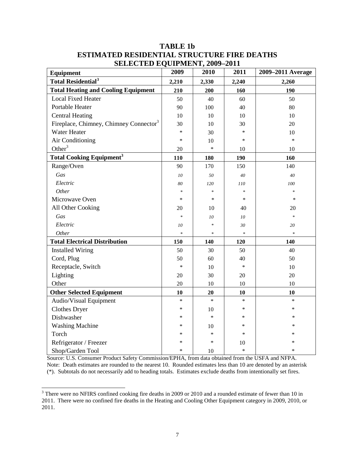| Equipment                                          | 2009   | 2010   | 2011   | 2009-2011 Average |
|----------------------------------------------------|--------|--------|--------|-------------------|
| <b>Total Residential<sup>3</sup></b>               | 2,210  | 2,330  | 2,240  | 2,260             |
| <b>Total Heating and Cooling Equipment</b>         | 210    | 200    | 160    | 190               |
| <b>Local Fixed Heater</b>                          | 50     | 40     | 60     | 50                |
| Portable Heater                                    | 90     | 100    | 40     | 80                |
| <b>Central Heating</b>                             | 10     | 10     | 10     | 10                |
| Fireplace, Chimney, Chimney Connector <sup>3</sup> | 30     | 10     | 30     | 20                |
| Water Heater                                       | $\ast$ | 30     | *      | 10                |
| Air Conditioning                                   | $\ast$ | 10     | *      | $\ast$            |
| Other <sup>3</sup>                                 | 20     | $\ast$ | 10     | 10                |
| <b>Total Cooking Equipment<sup>3</sup></b>         | 110    | 180    | 190    | 160               |
| Range/Oven                                         | 90     | 170    | 150    | 140               |
| Gas                                                | 10     | 50     | 40     | 40                |
| Electric                                           | 80     | 120    | 110    | 100               |
| Other                                              | $\ast$ | $\ast$ | $\ast$ | $\ast$            |
| Microwave Oven                                     | $\ast$ | $\ast$ | *      | $\ast$            |
| All Other Cooking                                  | 20     | 10     | 40     | 20                |
| Gas                                                | $\ast$ | 10     | 10     | $\ast$            |
| Electric                                           | $10\,$ | $\ast$ | 30     | 20                |
| Other                                              | $\ast$ | $\ast$ | $\ast$ | $\ast$            |
| <b>Total Electrical Distribution</b>               | 150    | 140    | 120    | 140               |
| <b>Installed Wiring</b>                            | 50     | 30     | 50     | 40                |
| Cord, Plug                                         | 50     | 60     | 40     | 50                |
| Receptacle, Switch                                 | $\ast$ | 10     | $\ast$ | 10                |
| Lighting                                           | 20     | 30     | 20     | 20                |
| Other                                              | 20     | 10     | 10     | 10                |
| <b>Other Selected Equipment</b>                    | 10     | 20     | 10     | 10                |
| Audio/Visual Equipment                             | $\ast$ | $\ast$ | $\ast$ | $\ast$            |
| <b>Clothes Dryer</b>                               | $\ast$ | 10     | *      | ∗                 |
| Dishwasher                                         | $\ast$ | $\ast$ | *      | $\ast$            |
| <b>Washing Machine</b>                             | $\ast$ | 10     | $\ast$ | $\ast$            |
| Torch                                              | $\ast$ | *      | *      | ∗                 |
| Refrigerator / Freezer                             | $\ast$ | $\ast$ | 10     | $\ast$            |
| Shop/Garden Tool                                   | $\ast$ | 10     | $\ast$ | *                 |

## **TABLE 1b ESTIMATED RESIDENTIAL STRUCTURE FIRE DEATHS SELECTED EQUIPMENT, 2009–2011**

Source: U.S. Consumer Product Safety Commission/EPHA, from data obtained from the USFA and NFPA. Note: Death estimates are rounded to the nearest 10. Rounded estimates less than 10 are denoted by an asterisk (\*). Subtotals do not necessarily add to heading totals. Estimates exclude deaths from intentionally set fires.

<span id="page-7-0"></span> $3$  There were no NFIRS confined cooking fire deaths in 2009 or 2010 and a rounded estimate of fewer than 10 in 2011. There were no confined fire deaths in the Heating and Cooling Other Equipment category in 2009, 2010, or 2011.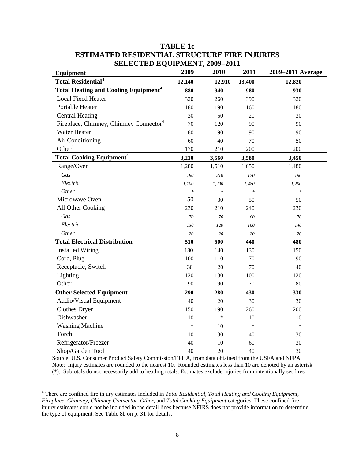| Equipment                                              | 2009   | 2010   | 2011                              | 2009-2011 Average |
|--------------------------------------------------------|--------|--------|-----------------------------------|-------------------|
| <b>Total Residential<sup>4</sup></b>                   | 12,140 | 12,910 | 13,400                            | 12,820            |
| <b>Total Heating and Cooling Equipment<sup>4</sup></b> | 880    | 940    | 980                               | 930               |
| <b>Local Fixed Heater</b>                              | 320    | 260    | 390                               | 320               |
| Portable Heater                                        | 180    | 190    | 160                               | 180               |
| <b>Central Heating</b>                                 | 30     | 50     | 20                                | 30                |
| Fireplace, Chimney, Chimney Connector <sup>4</sup>     | 70     | 120    | 90                                | 90                |
| <b>Water Heater</b>                                    | 80     | 90     | 90                                | 90                |
| Air Conditioning                                       | 60     | 40     | 70                                | 50                |
| Other $4$                                              | 170    | 210    | 200                               | 200               |
| <b>Total Cooking Equipment<sup>4</sup></b>             | 3,210  | 3,560  | 3,580                             | 3,450             |
| Range/Oven                                             | 1,280  | 1,510  | 1,650                             | 1,480             |
| Gas                                                    | 180    | 210    | 170                               | 190               |
| Electric                                               | 1,100  | 1,290  | 1,480                             | 1,290             |
| Other                                                  | $\ast$ | $\ast$ | $\frac{d\mathbf{r}}{d\mathbf{r}}$ | ×                 |
| Microwave Oven                                         | 50     | 30     | 50                                | 50                |
| All Other Cooking                                      | 230    | 210    | 240                               | 230               |
| Gas                                                    | 70     | 70     | 60                                | 70                |
| Electric                                               | 130    | 120    | 160                               | 140               |
| Other                                                  | $20\,$ | 20     | 20                                | 20                |
| <b>Total Electrical Distribution</b>                   | 510    | 500    | 440                               | 480               |
| <b>Installed Wiring</b>                                | 180    | 140    | 130                               | 150               |
| Cord, Plug                                             | 100    | 110    | 70                                | 90                |
| Receptacle, Switch                                     | 30     | 20     | 70                                | 40                |
| Lighting                                               | 120    | 130    | 100                               | 120               |
| Other                                                  | 90     | 90     | 70                                | 80                |
| <b>Other Selected Equipment</b>                        | 290    | 280    | 430                               | 330               |
| Audio/Visual Equipment                                 | 40     | 20     | 30                                | 30                |
| <b>Clothes Dryer</b>                                   | 150    | 190    | 260                               | 200               |
| Dishwasher                                             | 10     | $\ast$ | 10                                | 10                |
| <b>Washing Machine</b>                                 | $\ast$ | 10     | $\ast$                            | $\ast$            |
| Torch                                                  | 10     | 30     | 40                                | 30                |
| Refrigerator/Freezer                                   | 40     | 10     | 60                                | 30                |
| Shop/Garden Tool                                       | 40     | 20     | 40                                | 30                |

## **TABLE 1c ESTIMATED RESIDENTIAL STRUCTURE FIRE INJURIES SELECTED EQUIPMENT, 2009–2011**

Source: U.S. Consumer Product Safety Commission/EPHA, from data obtained from the USFA and NFPA. Note: Injury estimates are rounded to the nearest 10. Rounded estimates less than 10 are denoted by an asterisk (\*). Subtotals do not necessarily add to heading totals. Estimates exclude injuries from intentionally set fires.

<span id="page-8-0"></span><sup>4</sup> There are confined fire injury estimates included in *Total Residential*, *Total Heating and Cooling Equipment*, *Fireplace, Chimney, Chimney Connector*, *Other*, and *Total Cooking Equipment* categories. These confined fire injury estimates could not be included in the detail lines because NFIRS does not provide information to determine the type of equipment. See Table 8b on p. 31 for details.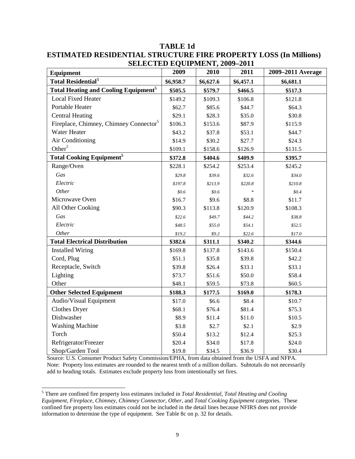| Equipment                                              | 2009      | DELECTED EQUITMENT, 2007-2011<br>2010 | 2011      | 2009-2011 Average |
|--------------------------------------------------------|-----------|---------------------------------------|-----------|-------------------|
| <b>Total Residential<sup>5</sup></b>                   | \$6,958.7 | \$6,627.6                             | \$6,457.1 | \$6,681.1         |
| <b>Total Heating and Cooling Equipment<sup>5</sup></b> | \$505.5   | \$579.7                               | \$466.5   | \$517.3           |
| <b>Local Fixed Heater</b>                              | \$149.2   | \$109.3                               | \$106.8   | \$121.8           |
| Portable Heater                                        | \$62.7    | \$85.6                                | \$44.7    | \$64.3            |
| <b>Central Heating</b>                                 | \$29.1    | \$28.3                                | \$35.0    | \$30.8            |
| Fireplace, Chimney, Chimney Connector <sup>5</sup>     | \$106.3   | \$153.6                               | \$87.9    | \$115.9           |
| <b>Water Heater</b>                                    | \$43.2    | \$37.8                                | \$53.1    | \$44.7            |
| Air Conditioning                                       | \$14.9    | \$30.2                                | \$27.7    | \$24.3            |
| Other <sup>5</sup>                                     | \$109.1   | \$158.6                               | \$126.9   | \$131.5           |
| <b>Total Cooking Equipment</b> <sup>5</sup>            | \$372.8   | \$404.6                               | \$409.9   | \$395.7           |
| Range/Oven                                             | \$228.1   | \$254.2                               | \$253.4   | \$245.2           |
| Gas                                                    | \$29.8    | \$39.6                                | \$32.6    | \$34.0            |
| Electric                                               | \$197.8   | \$213.9                               | \$220.8   | \$210.8           |
| Other                                                  | \$0.6     | \$0.6                                 |           | \$0.4\$           |
| Microwave Oven                                         | \$16.7    | \$9.6                                 | \$8.8     | \$11.7            |
| All Other Cooking                                      | \$90.3    | \$113.8                               | \$120.9   | \$108.3           |
| Gas                                                    | \$22.6    | \$49.7                                | \$44.2    | \$38.8            |
| Electric                                               | \$48.5    | \$55.0                                | \$54.1    | \$52.5            |
| Other                                                  | \$19.2\$  | \$9.2                                 | \$22.6    | \$17.0            |
| <b>Total Electrical Distribution</b>                   | \$382.6   | \$311.1                               | \$340.2   | \$344.6           |
| <b>Installed Wiring</b>                                | \$169.8   | \$137.8                               | \$143.6   | \$150.4           |
| Cord, Plug                                             | \$51.1    | \$35.8                                | \$39.8    | \$42.2            |
| Receptacle, Switch                                     | \$39.8    | \$26.4                                | \$33.1    | \$33.1            |
| Lighting                                               | \$73.7    | \$51.6                                | \$50.0    | \$58.4            |
| Other                                                  | \$48.1    | \$59.5                                | \$73.8    | \$60.5            |
| <b>Other Selected Equipment</b>                        | \$188.3   | \$177.5                               | \$169.0   | \$178.3           |
| Audio/Visual Equipment                                 | \$17.0    | \$6.6                                 | \$8.4     | \$10.7            |
| <b>Clothes Dryer</b>                                   | \$68.1    | \$76.4                                | \$81.4    | \$75.3            |
| Dishwasher                                             | \$8.9     | \$11.4                                | \$11.0    | \$10.5            |
| <b>Washing Machine</b>                                 | \$3.8     | \$2.7                                 | \$2.1     | \$2.9             |
| Torch                                                  | \$50.4    | \$13.2                                | \$12.4    | \$25.3            |
| Refrigerator/Freezer                                   | \$20.4    | \$34.0                                | \$17.8    | \$24.0            |
| Shop/Garden Tool                                       | \$19.8    | \$34.5                                | \$36.9    | \$30.4            |

**TABLE 1d ESTIMATED RESIDENTIAL STRUCTURE FIRE PROPERTY LOSS (In Millions) SELECTED EQUIPMENT, 2009-2011** 

Source: U.S. Consumer Product Safety Commission/EPHA, from data obtained from the USFA and NFPA. Note: Property loss estimates are rounded to the nearest tenth of a million dollars. Subtotals do not necessarily add to heading totals. Estimates exclude property loss from intentionally set fires.

<span id="page-9-0"></span><sup>5</sup> There are confined fire property loss estimates included in *Total Residential, Total Heating and Cooling Equipment, Fireplace, Chimney, Chimney Connector, Other*, and *Total Cooking Equipment* categories. These confined fire property loss estimates could not be included in the detail lines because NFIRS does not provide information to determine the type of equipment. See Table 8c on p. 32 for details.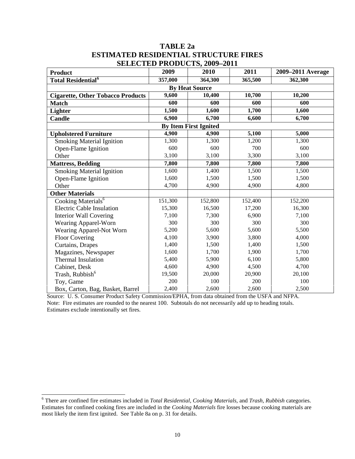#### **TABLE 2a ESTIMATED RESIDENTIAL STRUCTURE FIRES SELECTED PRODUCTS, 2009–2011**

| <b>Product</b>                           | 2009    | DEED TRODUCTD, 2007 2011<br>2010 | 2011    | 2009–2011 Average |  |  |
|------------------------------------------|---------|----------------------------------|---------|-------------------|--|--|
| <b>Total Residential</b> <sup>6</sup>    | 357,000 | 364,300                          | 365,500 | 362,300           |  |  |
|                                          |         | <b>By Heat Source</b>            |         |                   |  |  |
| <b>Cigarette, Other Tobacco Products</b> | 9,600   | 10,400                           | 10,700  | 10,200            |  |  |
| <b>Match</b>                             | 600     | 600                              | 600     | 600               |  |  |
| Lighter                                  | 1,500   | 1,600                            | 1,700   | 1,600             |  |  |
| <b>Candle</b>                            | 6,900   | 6,700                            | 6,600   | 6,700             |  |  |
| <b>By Item First Ignited</b>             |         |                                  |         |                   |  |  |
| <b>Upholstered Furniture</b>             | 4,900   | 4,900                            | 5,100   | 5,000             |  |  |
| <b>Smoking Material Ignition</b>         | 1,300   | 1,300                            | 1,200   | 1,300             |  |  |
| Open-Flame Ignition                      | 600     | 600                              | 700     | 600               |  |  |
| Other                                    | 3,100   | 3,100                            | 3,300   | 3,100             |  |  |
| <b>Mattress, Bedding</b>                 | 7,800   | 7,800                            | 7,800   | 7,800             |  |  |
| <b>Smoking Material Ignition</b>         | 1,600   | 1,400                            | 1,500   | 1,500             |  |  |
| Open-Flame Ignition                      | 1,600   | 1,500                            | 1,500   | 1,500             |  |  |
| Other                                    | 4,700   | 4,900                            | 4,900   | 4,800             |  |  |
| <b>Other Materials</b>                   |         |                                  |         |                   |  |  |
| Cooking Materials <sup>6</sup>           | 151,300 | 152,800                          | 152,400 | 152,200           |  |  |
| <b>Electric Cable Insulation</b>         | 15,300  | 16,500                           | 17,200  | 16,300            |  |  |
| <b>Interior Wall Covering</b>            | 7,100   | 7,300                            | 6,900   | 7,100             |  |  |
| Wearing Apparel-Worn                     | 300     | 300                              | 300     | 300               |  |  |
| Wearing Apparel-Not Worn                 | 5,200   | 5,600                            | 5,600   | 5,500             |  |  |
| <b>Floor Covering</b>                    | 4,100   | 3,900                            | 3,800   | 4,000             |  |  |
| Curtains, Drapes                         | 1,400   | 1,500                            | 1,400   | 1,500             |  |  |
| Magazines, Newspaper                     | 1,600   | 1,700                            | 1,900   | 1,700             |  |  |
| <b>Thermal Insulation</b>                | 5,400   | 5,900                            | 6,100   | 5,800             |  |  |
| Cabinet, Desk                            | 4,600   | 4,900                            | 4,500   | 4,700             |  |  |
| Trash, Rubbish <sup>6</sup>              | 19,500  | 20,000                           | 20,900  | 20,100            |  |  |
| Toy, Game                                | 200     | 100                              | 200     | 100               |  |  |
| Box, Carton, Bag, Basket, Barrel         | 2,400   | 2,600                            | 2,600   | 2,500             |  |  |

Source: U. S. Consumer Product Safety Commission/EPHA, from data obtained from the USFA and NFPA. Note: Fire estimates are rounded to the nearest 100. Subtotals do not necessarily add up to heading totals. Estimates exclude intentionally set fires.

<span id="page-10-0"></span><sup>6</sup> There are confined fire estimates included in *Total Residential, Cooking Materials,* and *Trash, Rubbish* categories. Estimates for confined cooking fires are included in the *Cooking Materials* fire losses because cooking materials are most likely the item first ignited. See Table 8a on p. 31 for details.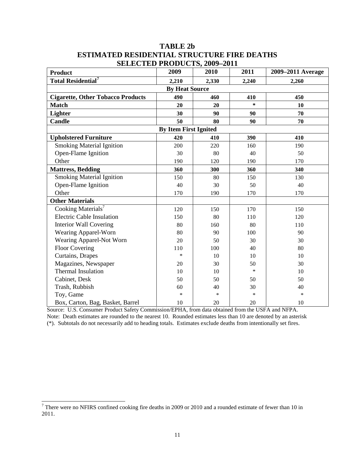## **TABLE 2b ESTIMATED RESIDENTIAL STRUCTURE FIRE DEATHS SELECTED PRODUCTS 2009-2011**

| <b>DELIEU I RODUCTB, 2007–2011</b><br><b>Product</b> | 2009                  | 2010   | 2011   | 2009–2011 Average |  |  |
|------------------------------------------------------|-----------------------|--------|--------|-------------------|--|--|
| <b>Total Residential</b> <sup>7</sup>                | 2,210                 | 2,330  | 2,240  | 2,260             |  |  |
|                                                      | <b>By Heat Source</b> |        |        |                   |  |  |
| <b>Cigarette, Other Tobacco Products</b>             | 490                   | 460    | 410    | 450               |  |  |
| <b>Match</b>                                         | 20                    | 20     | *      | 10                |  |  |
| Lighter                                              | 30                    | 90     | 90     | 70                |  |  |
| <b>Candle</b>                                        | 50                    | 80     | 90     | 70                |  |  |
| <b>By Item First Ignited</b>                         |                       |        |        |                   |  |  |
| <b>Upholstered Furniture</b>                         | 420                   | 410    | 390    | 410               |  |  |
| <b>Smoking Material Ignition</b>                     | 200                   | 220    | 160    | 190               |  |  |
| Open-Flame Ignition                                  | 30                    | 80     | 40     | 50                |  |  |
| Other                                                | 190                   | 120    | 190    | 170               |  |  |
| <b>Mattress, Bedding</b>                             | 360                   | 300    | 360    | 340               |  |  |
| <b>Smoking Material Ignition</b>                     | 150                   | 80     | 150    | 130               |  |  |
| Open-Flame Ignition                                  | 40                    | 30     | 50     | 40                |  |  |
| Other                                                | 170                   | 190    | 170    | 170               |  |  |
| <b>Other Materials</b>                               |                       |        |        |                   |  |  |
| Cooking Materials <sup>7</sup>                       | 120                   | 150    | 170    | 150               |  |  |
| <b>Electric Cable Insulation</b>                     | 150                   | 80     | 110    | 120               |  |  |
| <b>Interior Wall Covering</b>                        | 80                    | 160    | 80     | 110               |  |  |
| Wearing Apparel-Worn                                 | 80                    | 90     | 100    | 90                |  |  |
| Wearing Apparel-Not Worn                             | 20                    | 50     | 30     | 30                |  |  |
| <b>Floor Covering</b>                                | 110                   | 100    | 40     | 80                |  |  |
| Curtains, Drapes                                     | *                     | 10     | 10     | 10                |  |  |
| Magazines, Newspaper                                 | 20                    | 30     | 50     | 30                |  |  |
| <b>Thermal Insulation</b>                            | 10                    | 10     | $\ast$ | 10                |  |  |
| Cabinet, Desk                                        | 50                    | 50     | 50     | 50                |  |  |
| Trash, Rubbish                                       | 60                    | 40     | 30     | 40                |  |  |
| Toy, Game                                            | $\ast$                | $\ast$ | $\ast$ | $\ast$            |  |  |
| Box, Carton, Bag, Basket, Barrel                     | 10                    | 20     | 20     | 10                |  |  |

Source: U.S. Consumer Product Safety Commission/EPHA, from data obtained from the USFA and NFPA. Note: Death estimates are rounded to the nearest 10. Rounded estimates less than 10 are denoted by an asterisk (\*). Subtotals do not necessarily add to heading totals. Estimates exclude deaths from intentionally set fires.

<span id="page-11-0"></span> $7$  There were no NFIRS confined cooking fire deaths in 2009 or 2010 and a rounded estimate of fewer than 10 in 2011.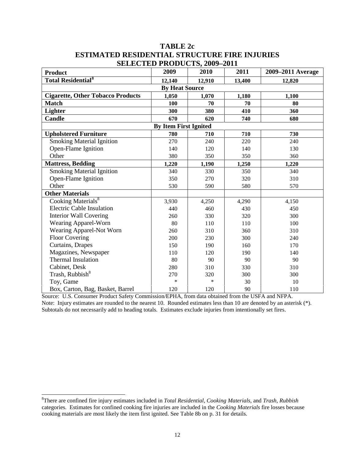## **TABLE 2c ESTIMATED RESIDENTIAL STRUCTURE FIRE INJURIES SELECTED PRODUCTS 2009-2011**

| <b>Product</b>                           | <u>Дипстир I КОРССТД, 2007 2011</u><br>2009 | 2010   | 2011   | 2009–2011 Average |  |  |
|------------------------------------------|---------------------------------------------|--------|--------|-------------------|--|--|
| <b>Total Residential<sup>8</sup></b>     | 12,140                                      | 12,910 | 13,400 | 12,820            |  |  |
|                                          | <b>By Heat Source</b>                       |        |        |                   |  |  |
| <b>Cigarette, Other Tobacco Products</b> | 1,050                                       | 1,070  | 1,180  | 1,100             |  |  |
| <b>Match</b>                             | 100                                         | 70     | 70     | 80                |  |  |
| Lighter                                  | 300                                         | 380    | 410    | 360               |  |  |
| Candle                                   | 670                                         | 620    | 740    | 680               |  |  |
| <b>By Item First Ignited</b>             |                                             |        |        |                   |  |  |
| <b>Upholstered Furniture</b>             | 780                                         | 710    | 710    | 730               |  |  |
| <b>Smoking Material Ignition</b>         | 270                                         | 240    | 220    | 240               |  |  |
| Open-Flame Ignition                      | 140                                         | 120    | 140    | 130               |  |  |
| Other                                    | 380                                         | 350    | 350    | 360               |  |  |
| <b>Mattress, Bedding</b>                 | 1,220                                       | 1,190  | 1,250  | 1,220             |  |  |
| <b>Smoking Material Ignition</b>         | 340                                         | 330    | 350    | 340               |  |  |
| Open-Flame Ignition                      | 350                                         | 270    | 320    | 310               |  |  |
| Other                                    | 530                                         | 590    | 580    | 570               |  |  |
| <b>Other Materials</b>                   |                                             |        |        |                   |  |  |
| Cooking Materials <sup>8</sup>           | 3,930                                       | 4,250  | 4,290  | 4,150             |  |  |
| <b>Electric Cable Insulation</b>         | 440                                         | 460    | 430    | 450               |  |  |
| <b>Interior Wall Covering</b>            | 260                                         | 330    | 320    | 300               |  |  |
| Wearing Apparel-Worn                     | 80                                          | 110    | 110    | 100               |  |  |
| Wearing Apparel-Not Worn                 | 260                                         | 310    | 360    | 310               |  |  |
| <b>Floor Covering</b>                    | 200                                         | 230    | 300    | 240               |  |  |
| Curtains, Drapes                         | 150                                         | 190    | 160    | 170               |  |  |
| Magazines, Newspaper                     | 110                                         | 120    | 190    | 140               |  |  |
| <b>Thermal Insulation</b>                | 80                                          | 90     | 90     | 90                |  |  |
| Cabinet, Desk                            | 280                                         | 310    | 330    | 310               |  |  |
| Trash, Rubbish <sup>8</sup>              | 270                                         | 320    | 300    | 300               |  |  |
| Toy, Game                                | $\ast$                                      | $\ast$ | 30     | 10                |  |  |
| Box, Carton, Bag, Basket, Barrel         | 120                                         | 120    | 90     | 110               |  |  |

Source: U.S. Consumer Product Safety Commission/EPHA, from data obtained from the USFA and NFPA. Note: Injury estimates are rounded to the nearest 10. Rounded estimates less than 10 are denoted by an asterisk  $(*)$ . Subtotals do not necessarily add to heading totals. Estimates exclude injuries from intentionally set fires.

<span id="page-12-0"></span> 8 There are confined fire injury estimates included in *Total Residential, Cooking Materials,* and *Trash, Rubbish* categories. Estimates for confined cooking fire injuries are included in the *Cooking Materials* fire losses because cooking materials are most likely the item first ignited. See Table 8b on p. 31 for details.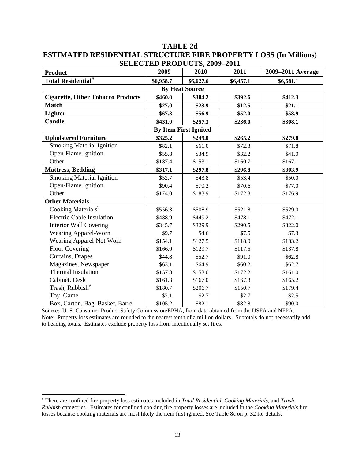## **TABLE 2d ESTIMATED RESIDENTIAL STRUCTURE FIRE PROPERTY LOSS (In Millions) SELECTED PRODUCTS 2009-2011**

| <b>Product</b>                           | 2009      | <b>DLLLCTLD I RODUCTD, 2007</b><br>2010 | $\overline{ }$ $\overline{ }$<br>2011 | 2009–2011 Average |
|------------------------------------------|-----------|-----------------------------------------|---------------------------------------|-------------------|
| <b>Total Residential<sup>9</sup></b>     | \$6,958.7 | \$6,627.6                               | \$6,457.1                             | \$6,681.1         |
|                                          |           | <b>By Heat Source</b>                   |                                       |                   |
| <b>Cigarette, Other Tobacco Products</b> | \$460.0   | \$384.2                                 | \$392.6                               | \$412.3           |
| <b>Match</b>                             | \$27.0    | \$23.9                                  | \$12.5                                | \$21.1            |
| <b>Lighter</b>                           | \$67.8    | \$56.9                                  | \$52.0                                | \$58.9            |
| <b>Candle</b>                            | \$431.0   | \$257.3                                 | \$236.0                               | \$308.1           |
|                                          |           | <b>By Item First Ignited</b>            |                                       |                   |
| <b>Upholstered Furniture</b>             | \$325.2   | \$249.0                                 | \$265.2                               | \$279.8           |
| <b>Smoking Material Ignition</b>         | \$82.1    | \$61.0                                  | \$72.3                                | \$71.8            |
| Open-Flame Ignition                      | \$55.8    | \$34.9                                  | \$32.2                                | \$41.0            |
| Other                                    | \$187.4   | \$153.1                                 | \$160.7                               | \$167.1           |
| <b>Mattress, Bedding</b>                 | \$317.1   | \$297.8                                 | \$296.8                               | \$303.9           |
| <b>Smoking Material Ignition</b>         | \$52.7    | \$43.8                                  | \$53.4                                | \$50.0            |
| Open-Flame Ignition                      | \$90.4    | \$70.2                                  | \$70.6                                | \$77.0            |
| Other                                    | \$174.0   | \$183.9                                 | \$172.8                               | \$176.9           |
| <b>Other Materials</b>                   |           |                                         |                                       |                   |
| Cooking Materials <sup>9</sup>           | \$556.3   | \$508.9                                 | \$521.8                               | \$529.0           |
| <b>Electric Cable Insulation</b>         | \$488.9   | \$449.2                                 | \$478.1                               | \$472.1           |
| <b>Interior Wall Covering</b>            | \$345.7   | \$329.9                                 | \$290.5                               | \$322.0           |
| Wearing Apparel-Worn                     | \$9.7     | \$4.6                                   | \$7.5                                 | \$7.3             |
| Wearing Apparel-Not Worn                 | \$154.1   | \$127.5                                 | \$118.0                               | \$133.2           |
| <b>Floor Covering</b>                    | \$166.0   | \$129.7                                 | \$117.5                               | \$137.8           |
| Curtains, Drapes                         | \$44.8    | \$52.7                                  | \$91.0                                | \$62.8            |
| Magazines, Newspaper                     | \$63.1    | \$64.9                                  | \$60.2                                | \$62.7            |
| <b>Thermal Insulation</b>                | \$157.8   | \$153.0                                 | \$172.2                               | \$161.0           |
| Cabinet, Desk                            | \$161.3   | \$167.0                                 | \$167.3                               | \$165.2           |
| Trash, Rubbish <sup>9</sup>              | \$180.7   | \$206.7                                 | \$150.7                               | \$179.4           |
| Toy, Game                                | \$2.1     | \$2.7                                   | \$2.7                                 | \$2.5             |
| Box, Carton, Bag, Basket, Barrel         | \$105.2   | \$82.1                                  | \$82.8                                | \$90.0            |

Source: U. S. Consumer Product Safety Commission/EPHA, from data obtained from the USFA and NFPA. Note: Property loss estimates are rounded to the nearest tenth of a million dollars. Subtotals do not necessarily add to heading totals. Estimates exclude property loss from intentionally set fires.

<span id="page-13-0"></span><sup>9</sup> There are confined fire property loss estimates included in *Total Residential, Cooking Materials,* and *Trash, Rubbish* categories. Estimates for confined cooking fire property losses are included in the *Cooking Materials* fire losses because cooking materials are most likely the item first ignited. See Table 8c on p. 32 for details.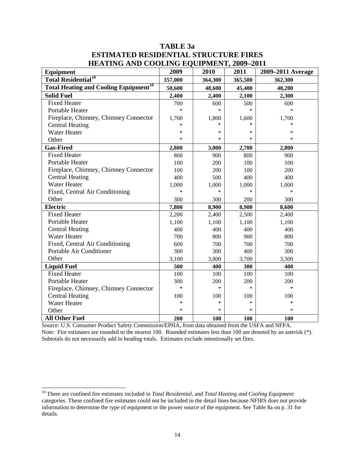## **TABLE 3a ESTIMATED RESIDENTIAL STRUCTURE FIRES HEATING AND COOLING EQUIPMENT, 2009–2011**

| <b>Equipment</b>                                        | 2009    | 2010    | 2011    | 2009-2011 Average |
|---------------------------------------------------------|---------|---------|---------|-------------------|
| <b>Total Residential<sup>10</sup></b>                   | 357,000 | 364,300 | 365,500 | 362,300           |
| <b>Total Heating and Cooling Equipment<sup>10</sup></b> | 50,600  | 48,600  | 45,400  | 48,200            |
| <b>Solid Fuel</b>                                       | 2,400   | 2,400   | 2,100   | 2,300             |
| <b>Fixed Heater</b>                                     | 700     | 600     | 500     | 600               |
| Portable Heater                                         | $\ast$  | $\ast$  | $\ast$  | $\ast$            |
| Fireplace, Chimney, Chimney Connector                   | 1,700   | 1,800   | 1,600   | 1,700             |
| <b>Central Heating</b>                                  | *       | $\ast$  |         |                   |
| Water Heater                                            | $\ast$  | $\ast$  | $\ast$  | $\ast$            |
| Other                                                   | $\ast$  | $\ast$  | ∗       | $\ast$            |
| <b>Gas-Fired</b>                                        | 2,800   | 3,000   | 2,700   | 2,800             |
| <b>Fixed Heater</b>                                     | 800     | 900     | 800     | 900               |
| Portable Heater                                         | 100     | 200     | 100     | 100               |
| Fireplace, Chimney, Chimney Connector                   | 100     | 200     | 100     | 200               |
| <b>Central Heating</b>                                  | 400     | 500     | 400     | 400               |
| <b>Water Heater</b>                                     | 1,000   | 1,000   | 1,000   | 1,000             |
| Fixed, Central Air Conditioning                         | $\ast$  | $\ast$  | $\ast$  | $\ast$            |
| Other                                                   | 300     | 300     | 200     | 300               |
| <b>Electric</b>                                         | 7,800   | 8,900   | 8,900   | 8,600             |
| <b>Fixed Heater</b>                                     | 2,200   | 2,400   | 2,500   | 2,400             |
| Portable Heater                                         | 1,100   | 1,100   | 1,100   | 1,100             |
| <b>Central Heating</b>                                  | 400     | 400     | 400     | 400               |
| <b>Water Heater</b>                                     | 700     | 800     | 900     | 800               |
| Fixed, Central Air Conditioning                         | 600     | 700     | 700     | 700               |
| Portable Air Conditioner                                | 300     | 300     | 400     | 300               |
| Other                                                   | 3,100   | 3,800   | 3,700   | 3,500             |
| <b>Liquid Fuel</b>                                      | 500     | 400     | 300     | 400               |
| <b>Fixed Heater</b>                                     | 100     | 100     | 100     | 100               |
| Portable Heater                                         | 300     | 200     | 200     | 200               |
| Fireplace, Chimney, Chimney Connector                   | $\ast$  | $\ast$  | $\ast$  | $\ast$            |
| <b>Central Heating</b>                                  | 100     | 100     | 100     | 100               |
| <b>Water Heater</b>                                     | *       | $\ast$  | $\ast$  | $\ast$            |
| Other                                                   | $\ast$  | $\ast$  | $\ast$  | $\ast$            |
| <b>All Other Fuel</b>                                   | 200     | 100     | 100     | 100               |

Source: U.S. Consumer Product Safety Commission/EPHA, from data obtained from the USFA and NFPA. Note: Fire estimates are rounded to the nearest 100. Rounded estimates less than 100 are denoted by an asterisk (\*). Subtotals do not necessarily add to heading totals. Estimates exclude intentionally set fires.

<span id="page-14-0"></span><sup>10</sup> There are confined fire estimates included in *Total Residential,* and *Total Heating and Cooling Equipment*  categories. These confined fire estimates could not be included in the detail lines because NFIRS does not provide information to determine the type of equipment or the power source of the equipment. See Table 8a on p. 31 for details.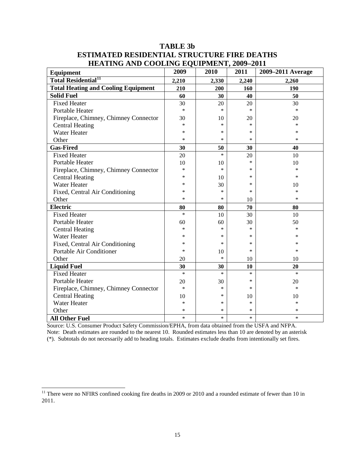| Equipment                                  | 2009   | 2010   | 2011   | 2009-2011 Average |
|--------------------------------------------|--------|--------|--------|-------------------|
| <b>Total Residential<sup>11</sup></b>      | 2,210  | 2,330  | 2,240  | 2,260             |
| <b>Total Heating and Cooling Equipment</b> | 210    | 200    | 160    | 190               |
| <b>Solid Fuel</b>                          | 60     | 30     | 40     | 50                |
| <b>Fixed Heater</b>                        | 30     | 20     | 20     | 30                |
| Portable Heater                            | $\ast$ | $\ast$ | $\ast$ | $\ast$            |
| Fireplace, Chimney, Chimney Connector      | 30     | 10     | 20     | 20                |
| <b>Central Heating</b>                     | ∗      | $\ast$ | *      | *                 |
| <b>Water Heater</b>                        | *      | $\ast$ | *      | $\ast$            |
| Other                                      | *      | $\ast$ | $\ast$ | $\ast$            |
| <b>Gas-Fired</b>                           | 30     | 50     | 30     | 40                |
| <b>Fixed Heater</b>                        | 20     | $\ast$ | 20     | 10                |
| <b>Portable Heater</b>                     | 10     | 10     | *      | 10                |
| Fireplace, Chimney, Chimney Connector      | $\ast$ | $\ast$ | *      | $\ast$            |
| <b>Central Heating</b>                     | *      | 10     | *      | $\ast$            |
| <b>Water Heater</b>                        | *      | 30     | *      | 10                |
| Fixed, Central Air Conditioning            | *      | $\ast$ | *      | $\ast$            |
| Other                                      | *      | $\ast$ | 10     | $\ast$            |
| <b>Electric</b>                            | 80     | 80     | 70     | 80                |
| <b>Fixed Heater</b>                        | $\ast$ | 10     | 30     | 10                |
| Portable Heater                            | 60     | 60     | 30     | 50                |
| <b>Central Heating</b>                     | *      | $\ast$ | $\ast$ | $\ast$            |
| <b>Water Heater</b>                        | *      | $\ast$ | *      | $\ast$            |
| Fixed, Central Air Conditioning            | *      | $\ast$ | *      | *                 |
| Portable Air Conditioner                   | $\ast$ | 10     | $\ast$ | $\ast$            |
| Other                                      | 20     | $\ast$ | 10     | 10                |
| <b>Liquid Fuel</b>                         | 30     | 30     | 10     | 20                |
| <b>Fixed Heater</b>                        | $\ast$ | $\ast$ | $\ast$ | $\ast$            |
| Portable Heater                            | 20     | 30     | *      | 20                |
| Fireplace, Chimney, Chimney Connector      | $\ast$ | $\ast$ | *      | $\ast$            |
| <b>Central Heating</b>                     | 10     | *      | 10     | 10                |
| <b>Water Heater</b>                        | *      | $\ast$ | $\ast$ | $\ast$            |
| Other                                      | *      | $\ast$ | $\ast$ | $\ast$            |
| <b>All Other Fuel</b>                      | *      | $\ast$ | $\ast$ | $\ast$            |

## **TABLE 3b ESTIMATED RESIDENTIAL STRUCTURE FIRE DEATHS HEATING AND COOLING EQUIPMENT, 2009–2011**

Source: U.S. Consumer Product Safety Commission/EPHA, from data obtained from the USFA and NFPA. Note: Death estimates are rounded to the nearest 10. Rounded estimates less than 10 are denoted by an asterisk (\*). Subtotals do not necessarily add to heading totals. Estimates exclude deaths from intentionally set fires.

<span id="page-15-0"></span><sup>&</sup>lt;sup>11</sup> There were no NFIRS confined cooking fire deaths in 2009 or 2010 and a rounded estimate of fewer than 10 in 2011.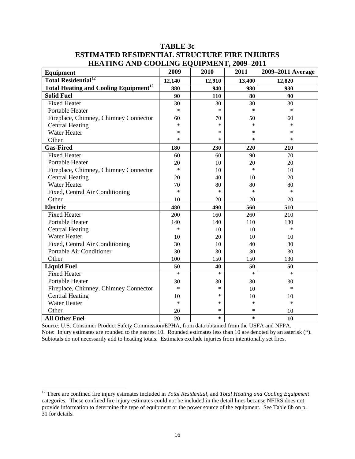| <b>TABLE 3c</b>                                      |
|------------------------------------------------------|
| <b>ESTIMATED RESIDENTIAL STRUCTURE FIRE INJURIES</b> |
| <b>HEATING AND COOLING EQUIPMENT, 2009-2011</b>      |

| Equipment                                               | 2009   | 2010   | 2011   | 2009-2011 Average |
|---------------------------------------------------------|--------|--------|--------|-------------------|
| <b>Total Residential<sup>12</sup></b>                   | 12,140 | 12,910 | 13,400 | 12,820            |
| <b>Total Heating and Cooling Equipment<sup>12</sup></b> | 880    | 940    | 980    | 930               |
| <b>Solid Fuel</b>                                       | 90     | 110    | 80     | 90                |
| <b>Fixed Heater</b>                                     | 30     | 30     | 30     | 30                |
| Portable Heater                                         | $\ast$ | $\ast$ | $\ast$ | $\ast$            |
| Fireplace, Chimney, Chimney Connector                   | 60     | 70     | 50     | 60                |
| <b>Central Heating</b>                                  | $\ast$ | *      | $\ast$ | $\ast$            |
| <b>Water Heater</b>                                     | $\ast$ | *      | $\ast$ | $\ast$            |
| Other                                                   | *      | *      | $\ast$ | $\ast$            |
| <b>Gas-Fired</b>                                        | 180    | 230    | 220    | 210               |
| <b>Fixed Heater</b>                                     | 60     | 60     | 90     | 70                |
| <b>Portable Heater</b>                                  | 20     | 10     | 20     | 20                |
| Fireplace, Chimney, Chimney Connector                   | $\ast$ | 10     | $\ast$ | 10                |
| <b>Central Heating</b>                                  | 20     | 40     | 10     | 20                |
| <b>Water Heater</b>                                     | 70     | 80     | 80     | 80                |
| Fixed, Central Air Conditioning                         | $\ast$ | *      | $\ast$ | $\ast$            |
| Other                                                   | 10     | 20     | 20     | 20                |
| <b>Electric</b>                                         | 480    | 490    | 560    | 510               |
| <b>Fixed Heater</b>                                     | 200    | 160    | 260    | 210               |
| Portable Heater                                         | 140    | 140    | 110    | 130               |
| <b>Central Heating</b>                                  | $\ast$ | 10     | 10     | $\ast$            |
| <b>Water Heater</b>                                     | 10     | 20     | 10     | 10                |
| Fixed, Central Air Conditioning                         | 30     | 10     | 40     | 30                |
| Portable Air Conditioner                                | 30     | 30     | 30     | 30                |
| Other                                                   | 100    | 150    | 150    | 130               |
| <b>Liquid Fuel</b>                                      | 50     | 40     | 50     | 50                |
| <b>Fixed Heater</b>                                     | $\ast$ | $\ast$ | $\ast$ | $\ast$            |
| Portable Heater                                         | 30     | 30     | 30     | 30                |
| Fireplace, Chimney, Chimney Connector                   | $\ast$ | *      | 10     | $\ast$            |
| <b>Central Heating</b>                                  | 10     | *      | 10     | 10                |
| <b>Water Heater</b>                                     | $\ast$ | *      | $\ast$ | $\ast$            |
| Other                                                   | 20     | $\ast$ | $\ast$ | 10                |
| <b>All Other Fuel</b>                                   | 20     | $\ast$ | $\ast$ | 10                |

Source: U.S. Consumer Product Safety Commission/EPHA, from data obtained from the USFA and NFPA. Note: Injury estimates are rounded to the nearest 10. Rounded estimates less than 10 are denoted by an asterisk (\*). Subtotals do not necessarily add to heading totals. Estimates exclude injuries from intentionally set fires.

<span id="page-16-0"></span><sup>12</sup> There are confined fire injury estimates included in *Total Residential,* and *Total Heating and Cooling Equipment*  categories. These confined fire injury estimates could not be included in the detail lines because NFIRS does not provide information to determine the type of equipment or the power source of the equipment. See Table 8b on p. 31 for details.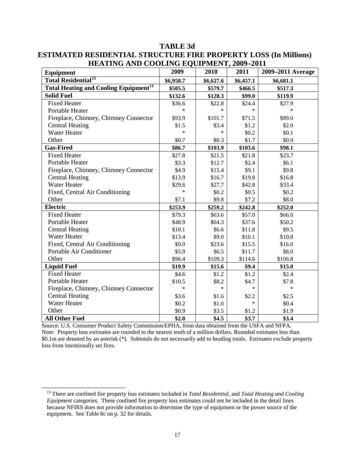| Equipment                                               | 2009      | 2010      | 2011      | 2009-2011 Average |
|---------------------------------------------------------|-----------|-----------|-----------|-------------------|
| <b>Total Residential<sup>13</sup></b>                   | \$6,958.7 | \$6,627.6 | \$6,457.1 | \$6,681.1         |
| <b>Total Heating and Cooling Equipment<sup>13</sup></b> | \$505.5   | \$579.7   | \$466.5   | \$517.3           |
| <b>Solid Fuel</b>                                       | \$132.6   | \$128.3   | \$99.0    | \$119.9           |
| <b>Fixed Heater</b>                                     | \$36.6    | \$22.8    | \$24.4    | \$27.9            |
| Portable Heater                                         | $\ast$    | $\ast$    | $\ast$    | *                 |
| Fireplace, Chimney, Chimney Connector                   | \$93.9    | \$101.7   | \$71.5    | \$89.0            |
| <b>Central Heating</b>                                  | \$1.5     | \$3.4     | \$1.2     | \$2.0             |
| Water Heater                                            | $\ast$    | $\ast$    | \$0.2     | \$0.1             |
| Other                                                   | \$0.7     | \$0.3\$   | \$1.7     | \$0.9\$           |
| <b>Gas-Fired</b>                                        | \$86.7    | \$103.9   | \$103.6   | \$98.1            |
| <b>Fixed Heater</b>                                     | \$27.8    | \$21.5    | \$21.8    | \$23.7            |
| <b>Portable Heater</b>                                  | \$3.3     | \$12.7    | \$2.4     | \$6.1             |
| Fireplace, Chimney, Chimney Connector                   | \$4.9     | \$15.4    | \$9.1     | \$9.8             |
| <b>Central Heating</b>                                  | \$13.9    | \$16.7    | \$19.8    | \$16.8            |
| <b>Water Heater</b>                                     | \$29.6    | \$27.7    | \$42.8    | \$33.4            |
| Fixed, Central Air Conditioning                         | $\ast$    | \$0.2\$   | \$0.5     | \$0.2\$           |
| Other                                                   | \$7.1     | \$9.8     | \$7.2     | \$8.0             |
| <b>Electric</b>                                         | \$253.9   | \$259.2   | \$242.8   | \$252.0           |
| <b>Fixed Heater</b>                                     | \$79.3    | \$63.6    | \$57.0    | \$66.6            |
| Portable Heater                                         | \$48.9    | \$64.3    | \$37.6    | \$50.2            |
| <b>Central Heating</b>                                  | \$10.1    | \$6.6     | \$11.8    | \$9.5             |
| <b>Water Heater</b>                                     | \$13.4    | \$9.0     | \$10.1    | \$10.8            |
| Fixed, Central Air Conditioning                         | \$9.0     | \$23.6    | \$15.5    | \$16.0            |
| Portable Air Conditioner                                | \$5.9     | \$6.5     | \$11.7    | \$8.0             |
| Other                                                   | \$96.4    | \$109.3   | \$114.6   | \$106.8           |
| <b>Liquid Fuel</b>                                      | \$19.9    | \$15.6    | \$9.4     | \$15.0            |
| <b>Fixed Heater</b>                                     | \$4.6     | \$1.2     | \$1.2     | \$2.4             |
| Portable Heater                                         | \$10.5    | \$8.2     | \$4.7     | \$7.8             |
| Fireplace, Chimney, Chimney Connector                   | $\ast$    | $\ast$    | $\ast$    | $\ast$            |
| <b>Central Heating</b>                                  | \$3.6     | \$1.6     | \$2.2     | \$2.5             |
| <b>Water Heater</b>                                     | \$0.2\$   | \$1.0     | $\ast$    | \$0.4             |
| Other                                                   | \$0.9     | \$3.5     | \$1.2     | \$1.9             |
| <b>All Other Fuel</b>                                   | \$2.0     | \$4.5     | \$3.7     | \$3.4             |

**TABLE 3d ESTIMATED RESIDENTIAL STRUCTURE FIRE PROPERTY LOSS (In Millions) HEATING AND COOLING EQUIPMENT, 2009–2011** 

Source: U.S. Consumer Product Safety Commission/EPHA, from data obtained from the USFA and NFPA. Note: Property loss estimates are rounded to the nearest tenth of a million dollars. Rounded estimates less than \$0.1m are denoted by an asterisk (\*). Subtotals do not necessarily add to heading totals. Estimates exclude property loss from intentionally set fires.

<span id="page-17-0"></span> <sup>13</sup> There are confined fire property loss estimates included in *Total Residential,* and *Total Heating and Cooling Equipment* categories. These confined fire property loss estimates could not be included in the detail lines because NFIRS does not provide information to determine the type of equipment or the power source of the equipment. See Table 8c on p. 32 for details.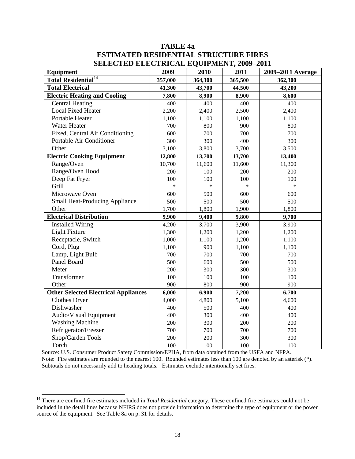## **TABLE 4a ESTIMATED RESIDENTIAL STRUCTURE FIRES SELECTED ELECTRICAL EQUIPMENT, 2009–2011**

| Equipment                                   | 2009    | 2010    | $\frac{1}{2}$<br>2011 | 2009-2011 Average |
|---------------------------------------------|---------|---------|-----------------------|-------------------|
| <b>Total Residential<sup>14</sup></b>       | 357,000 | 364,300 | 365,500               | 362,300           |
| <b>Total Electrical</b>                     | 41,300  | 43,700  | 44,500                | 43,200            |
| <b>Electric Heating and Cooling</b>         | 7,800   | 8,900   | 8,900                 | 8,600             |
| <b>Central Heating</b>                      | 400     | 400     | 400                   | 400               |
| <b>Local Fixed Heater</b>                   | 2,200   | 2,400   | 2,500                 | 2,400             |
| Portable Heater                             | 1,100   | 1,100   | 1,100                 | 1,100             |
| Water Heater                                | 700     | 800     | 900                   | 800               |
| Fixed, Central Air Conditioning             | 600     | 700     | 700                   | 700               |
| Portable Air Conditioner                    | 300     | 300     | 400                   | 300               |
| Other                                       | 3,100   | 3,800   | 3,700                 | 3,500             |
| <b>Electric Cooking Equipment</b>           | 12,800  | 13,700  | 13,700                | 13,400            |
| Range/Oven                                  | 10,700  | 11,600  | 11,600                | 11,300            |
| Range/Oven Hood                             | 200     | 100     | 200                   | 200               |
| Deep Fat Fryer                              | 100     | 100     | 100                   | 100               |
| Grill                                       | $\ast$  | $\ast$  | $\ast$                | $\ast$            |
| Microwave Oven                              | 600     | 500     | 600                   | 600               |
| <b>Small Heat-Producing Appliance</b>       | 500     | 500     | 500                   | 500               |
| Other                                       | 1,700   | 1,800   | 1,900                 | 1,800             |
| <b>Electrical Distribution</b>              | 9,900   | 9,400   | 9,800                 | 9,700             |
| <b>Installed Wiring</b>                     | 4,200   | 3,700   | 3,900                 | 3,900             |
| <b>Light Fixture</b>                        | 1,300   | 1,200   | 1,200                 | 1,200             |
| Receptacle, Switch                          | 1,000   | 1,100   | 1,200                 | 1,100             |
| Cord, Plug                                  | 1,100   | 900     | 1,100                 | 1,100             |
| Lamp, Light Bulb                            | 700     | 700     | 700                   | 700               |
| Panel Board                                 | 500     | 600     | 500                   | 500               |
| Meter                                       | 200     | 300     | 300                   | 300               |
| Transformer                                 | 100     | 100     | 100                   | 100               |
| Other                                       | 900     | 800     | 900                   | 900               |
| <b>Other Selected Electrical Appliances</b> | 6,000   | 6,900   | 7,200                 | 6,700             |
| <b>Clothes Dryer</b>                        | 4,000   | 4,800   | 5,100                 | 4,600             |
| Dishwasher                                  | 400     | 500     | 400                   | 400               |
| Audio/Visual Equipment                      | 400     | 300     | 400                   | 400               |
| <b>Washing Machine</b>                      | 200     | 300     | 200                   | 200               |
| Refrigerator/Freezer                        | 700     | 700     | 700                   | 700               |
| Shop/Garden Tools                           | 200     | 200     | 300                   | 300               |
| Torch                                       | 100     | 100     | 100                   | 100               |

Source: U.S. Consumer Product Safety Commission/EPHA, from data obtained from the USFA and NFPA. Note: Fire estimates are rounded to the nearest 100. Rounded estimates less than 100 are denoted by an asterisk  $(*)$ . Subtotals do not necessarily add to heading totals. Estimates exclude intentionally set fires.

<span id="page-18-0"></span><sup>&</sup>lt;sup>14</sup> There are confined fire estimates included in *Total Residential* category. These confined fire estimates could not be included in the detail lines because NFIRS does not provide information to determine the type of equipment or the power source of the equipment. See Table 8a on p. 31 for details.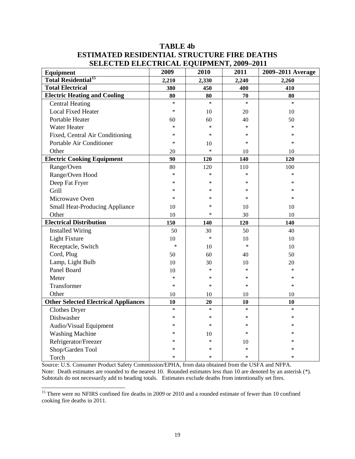## **TABLE 4b ESTIMATED RESIDENTIAL STRUCTURE FIRE DEATHS SELECTED ELECTRICAL EQUIPMENT, 2009–2011**

| SELECTED ELECTNICAL EQUITMENT, 2007-2011<br>Equipment | 2009   | 2010   | 2011   | 2009-2011 Average |
|-------------------------------------------------------|--------|--------|--------|-------------------|
| <b>Total Residential<sup>15</sup></b>                 | 2,210  | 2,330  | 2,240  | 2,260             |
| <b>Total Electrical</b>                               | 380    | 450    | 400    | 410               |
| <b>Electric Heating and Cooling</b>                   | 80     | 80     | 70     | 80                |
| <b>Central Heating</b>                                | $\ast$ | $\ast$ | $\ast$ | $\ast$            |
| <b>Local Fixed Heater</b>                             | $\ast$ | 10     | 20     | 10                |
| Portable Heater                                       | 60     | 60     | 40     | 50                |
| <b>Water Heater</b>                                   | *      | $\ast$ | $\ast$ | $\ast$            |
| Fixed, Central Air Conditioning                       | *      | $\ast$ | $\ast$ | $\ast$            |
| Portable Air Conditioner                              | $\ast$ | 10     | $\ast$ | $\ast$            |
| Other                                                 | 20     | $\ast$ | 10     | 10                |
| <b>Electric Cooking Equipment</b>                     | 90     | 120    | 140    | 120               |
| Range/Oven                                            | 80     | 120    | 110    | 100               |
| Range/Oven Hood                                       | $\ast$ | $\ast$ | $\ast$ | $\ast$            |
| Deep Fat Fryer                                        | *      | *      | $\ast$ | $\ast$            |
| Grill                                                 | *      | *      | $\ast$ | $\ast$            |
| Microwave Oven                                        | *      | ∗      | $\ast$ | $\ast$            |
| <b>Small Heat-Producing Appliance</b>                 | 10     | $\ast$ | 10     | 10                |
| Other                                                 | 10     | $\ast$ | 30     | 10                |
| <b>Electrical Distribution</b>                        | 150    | 140    | 120    | 140               |
| <b>Installed Wiring</b>                               | 50     | 30     | 50     | 40                |
| Light Fixture                                         | 10     | $\ast$ | 10     | 10                |
| Receptacle, Switch                                    | $\ast$ | 10     | $\ast$ | 10                |
| Cord, Plug                                            | 50     | 60     | 40     | 50                |
| Lamp, Light Bulb                                      | 10     | 30     | 10     | 20                |
| Panel Board                                           | 10     | $\ast$ | $\ast$ | $\ast$            |
| Meter                                                 | *      | $\ast$ | $\ast$ | $\ast$            |
| Transformer                                           | $\ast$ | $\ast$ | $\ast$ | $\ast$            |
| Other                                                 | 10     | 10     | 10     | 10                |
| <b>Other Selected Electrical Appliances</b>           | 10     | 20     | 10     | 10                |
| Clothes Dryer                                         | $\ast$ | $\ast$ | $\ast$ | $\ast$            |
| Dishwasher                                            | *      | $\ast$ | $\ast$ | $\ast$            |
| Audio/Visual Equipment                                | *      | $\ast$ | $\ast$ | $\ast$            |
| <b>Washing Machine</b>                                | *      | 10     | $\ast$ | $\ast$            |
| Refrigerator/Freezer                                  | *      | $\ast$ | 10     | *                 |
| Shop/Garden Tool                                      | *      | ∗      | *      | ∗                 |
| Torch                                                 | $\ast$ | $\ast$ | $\ast$ | $\ast$            |

Source: U.S. Consumer Product Safety Commission/EPHA, from data obtained from the USFA and NFPA. Note: Death estimates are rounded to the nearest 10. Rounded estimates less than 10 are denoted by an asterisk (\*). Subtotals do not necessarily add to heading totals. Estimates exclude deaths from intentionally set fires.

<span id="page-19-0"></span><sup>15</sup> There were no NFIRS confined fire deaths in 2009 or 2010 and a rounded estimate of fewer than 10 confined cooking fire deaths in 2011.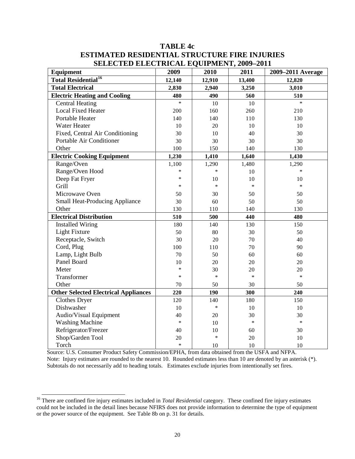| SELECTED ELECTRICAL EQUITMENT, 2009–2011    |        |        |        |                   |
|---------------------------------------------|--------|--------|--------|-------------------|
| Equipment                                   | 2009   | 2010   | 2011   | 2009-2011 Average |
| <b>Total Residential<sup>16</sup></b>       | 12,140 | 12,910 | 13,400 | 12,820            |
| <b>Total Electrical</b>                     | 2,830  | 2,940  | 3,250  | 3,010             |
| <b>Electric Heating and Cooling</b>         | 480    | 490    | 560    | 510               |
| <b>Central Heating</b>                      | $\ast$ | 10     | 10     | $\ast$            |
| <b>Local Fixed Heater</b>                   | 200    | 160    | 260    | 210               |
| Portable Heater                             | 140    | 140    | 110    | 130               |
| <b>Water Heater</b>                         | 10     | 20     | 10     | 10                |
| Fixed, Central Air Conditioning             | 30     | 10     | 40     | 30                |
| Portable Air Conditioner                    | 30     | 30     | 30     | 30                |
| Other                                       | 100    | 150    | 140    | 130               |
| <b>Electric Cooking Equipment</b>           | 1,230  | 1,410  | 1,640  | 1,430             |
| Range/Oven                                  | 1,100  | 1,290  | 1,480  | 1,290             |
| Range/Oven Hood                             | *      | $\ast$ | 10     | $\ast$            |
| Deep Fat Fryer                              | $\ast$ | 10     | 10     | 10                |
| Grill                                       | *      | $\ast$ | $\ast$ | $\ast$            |
| Microwave Oven                              | 50     | 30     | 50     | 50                |
| <b>Small Heat-Producing Appliance</b>       | 30     | 60     | 50     | 50                |
| Other                                       | 130    | 110    | 140    | 130               |
| <b>Electrical Distribution</b>              | 510    | 500    | 440    | 480               |
| <b>Installed Wiring</b>                     | 180    | 140    | 130    | 150               |
| Light Fixture                               | 50     | 80     | 30     | 50                |
| Receptacle, Switch                          | 30     | 20     | 70     | 40                |
| Cord, Plug                                  | 100    | 110    | 70     | 90                |
| Lamp, Light Bulb                            | 70     | 50     | 60     | 60                |
| Panel Board                                 | 10     | 20     | 20     | 20                |
| Meter                                       | $\ast$ | 30     | 20     | 20                |
| Transformer                                 | *      | $\ast$ | $\ast$ | $\ast$            |
| Other                                       | 70     | 50     | 30     | 50                |
| <b>Other Selected Electrical Appliances</b> | 220    | 190    | 300    | 240               |
| <b>Clothes Dryer</b>                        | 120    | 140    | 180    | 150               |
| Dishwasher                                  | 10     | $\ast$ | 10     | 10                |
| Audio/Visual Equipment                      | 40     | 20     | 30     | 30                |
| <b>Washing Machine</b>                      | $\ast$ | 10     | $\ast$ | $\ast$            |
| Refrigerator/Freezer                        | 40     | 10     | 60     | 30                |
| Shop/Garden Tool                            | 20     | $\ast$ | 20     | 10                |
| Torch                                       | $\ast$ | 10     | 10     | 10                |

## **TABLE 4c ESTIMATED RESIDENTIAL STRUCTURE FIRE INJURIES SELECTED ELECTRICAL EQUIPMENT, 2000-2011**

Source: U.S. Consumer Product Safety Commission/EPHA, from data obtained from the USFA and NFPA. Note: Injury estimates are rounded to the nearest 10. Rounded estimates less than 10 are denoted by an asterisk (\*). Subtotals do not necessarily add to heading totals. Estimates exclude injuries from intentionally set fires.

<span id="page-20-0"></span><sup>&</sup>lt;sup>16</sup> There are confined fire injury estimates included in *Total Residential* category. These confined fire injury estimates could not be included in the detail lines because NFIRS does not provide information to determine the type of equipment or the power source of the equipment. See Table 8b on p. 31 for details.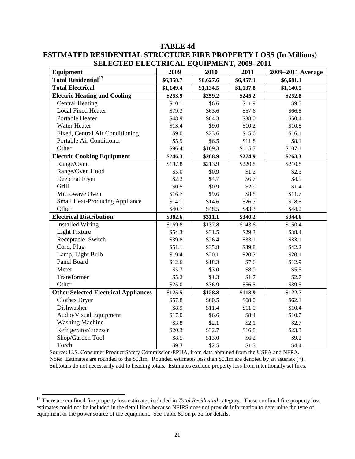| SELECTED ELECTNICAL EQUITMENT, 2007–2011<br>Equipment | 2009      | 2010      | 2011      | 2009-2011 Average |
|-------------------------------------------------------|-----------|-----------|-----------|-------------------|
| <b>Total Residential<sup>17</sup></b>                 | \$6,958.7 | \$6,627.6 | \$6,457.1 | \$6,681.1         |
| <b>Total Electrical</b>                               | \$1,149.4 | \$1,134.5 | \$1,137.8 | \$1,140.5         |
| <b>Electric Heating and Cooling</b>                   | \$253.9   | \$259.2   | \$245.2   | \$252.8           |
| <b>Central Heating</b>                                | \$10.1    | \$6.6     | \$11.9    | \$9.5             |
| <b>Local Fixed Heater</b>                             | \$79.3    | \$63.6    | \$57.6    | \$66.8            |
| Portable Heater                                       | \$48.9    | \$64.3    | \$38.0    | \$50.4            |
| <b>Water Heater</b>                                   | \$13.4    | \$9.0     | \$10.2    | \$10.8            |
| Fixed, Central Air Conditioning                       | \$9.0     | \$23.6    | \$15.6    | \$16.1            |
| Portable Air Conditioner                              | \$5.9     | \$6.5     | \$11.8    | \$8.1             |
| Other                                                 | \$96.4    | \$109.3   | \$115.7   | \$107.1           |
| <b>Electric Cooking Equipment</b>                     | \$246.3   | \$268.9   | \$274.9   | \$263.3           |
| Range/Oven                                            | \$197.8   | \$213.9   | \$220.8   | \$210.8           |
| Range/Oven Hood                                       | \$5.0     | \$0.9     | \$1.2     | \$2.3             |
| Deep Fat Fryer                                        | \$2.2     | \$4.7     | \$6.7     | \$4.5             |
| Grill                                                 | \$0.5     | \$0.9     | \$2.9     | \$1.4             |
| Microwave Oven                                        | \$16.7    | \$9.6     | \$8.8     | \$11.7            |
| <b>Small Heat-Producing Appliance</b>                 | \$14.1    | \$14.6    | \$26.7    | \$18.5            |
| Other                                                 | \$40.7    | \$48.5    | \$43.3    | \$44.2            |
| <b>Electrical Distribution</b>                        | \$382.6   | \$311.1   | \$340.2   | \$344.6           |
| <b>Installed Wiring</b>                               | \$169.8   | \$137.8   | \$143.6   | \$150.4           |
| <b>Light Fixture</b>                                  | \$54.3    | \$31.5    | \$29.3    | \$38.4            |
| Receptacle, Switch                                    | \$39.8    | \$26.4    | \$33.1    | \$33.1            |
| Cord, Plug                                            | \$51.1    | \$35.8    | \$39.8    | \$42.2            |
| Lamp, Light Bulb                                      | \$19.4    | \$20.1    | \$20.7    | \$20.1            |
| Panel Board                                           | \$12.6    | \$18.3    | \$7.6     | \$12.9            |
| Meter                                                 | \$5.3     | \$3.0     | \$8.0     | \$5.5             |
| Transformer                                           | \$5.2     | \$1.3     | \$1.7     | \$2.7             |
| Other                                                 | \$25.0    | \$36.9    | \$56.5    | \$39.5            |
| <b>Other Selected Electrical Appliances</b>           | \$125.5   | \$128.8   | \$113.9   | \$122.7           |
| <b>Clothes Dryer</b>                                  | \$57.8    | \$60.5    | \$68.0    | \$62.1            |
| Dishwasher                                            | \$8.9     | \$11.4    | \$11.0    | \$10.4            |
| Audio/Visual Equipment                                | \$17.0    | \$6.6     | \$8.4     | \$10.7            |
| <b>Washing Machine</b>                                | \$3.8     | \$2.1     | \$2.1     | \$2.7             |
| Refrigerator/Freezer                                  | \$20.3    | \$32.7    | \$16.8    | \$23.3            |
| Shop/Garden Tool                                      | \$8.5     | \$13.0    | \$6.2     | \$9.2             |
| Torch                                                 | \$9.3     | \$2.5     | \$1.3     | \$4.4             |

## **TABLE 4d ESTIMATED RESIDENTIAL STRUCTURE FIRE PROPERTY LOSS (In Millions) SELECTED ELECTRICAL EQUIPMENT, 2009-2011**

Source: U.S. Consumer Product Safety Commission/EPHA, from data obtained from the USFA and NFPA. Note: Estimates are rounded to the \$0.1m. Rounded estimates less than \$0.1m are denoted by an asterisk (\*). Subtotals do not necessarily add to heading totals. Estimates exclude property loss from intentionally set fires.

<span id="page-21-0"></span><sup>&</sup>lt;sup>17</sup> There are confined fire property loss estimates included in *Total Residential* category. These confined fire property loss estimates could not be included in the detail lines because NFIRS does not provide information to determine the type of equipment or the power source of the equipment. See Table 8c on p. 32 for details.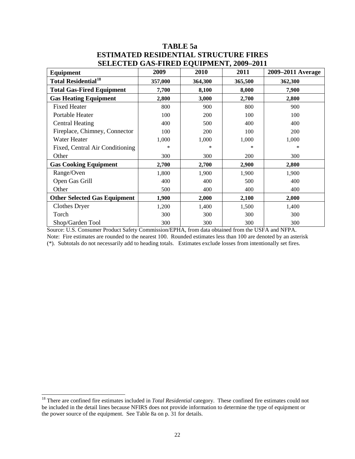## **TABLE 5a ESTIMATED RESIDENTIAL STRUCTURE FIRES SELECTED GAS-FIRED EQUIPMENT, 2009–2011**

| $\mu$                                 |         |            |         |                   |  |  |
|---------------------------------------|---------|------------|---------|-------------------|--|--|
| <b>Equipment</b>                      | 2009    | 2010       | 2011    | 2009–2011 Average |  |  |
| <b>Total Residential<sup>18</sup></b> | 357,000 | 364,300    | 365,500 | 362,300           |  |  |
| <b>Total Gas-Fired Equipment</b>      | 7,700   | 8,100      | 8,000   | 7,900             |  |  |
| <b>Gas Heating Equipment</b>          | 2,800   | 3,000      | 2,700   | 2,800             |  |  |
| <b>Fixed Heater</b>                   | 800     | 900        | 800     | 900               |  |  |
| Portable Heater                       | 100     | 200        | 100     | 100               |  |  |
| <b>Central Heating</b>                | 400     | 500        | 400     | 400               |  |  |
| Fireplace, Chimney, Connector         | 100     | <b>200</b> | 100     | 200               |  |  |
| Water Heater                          | 1,000   | 1,000      | 1,000   | 1,000             |  |  |
| Fixed, Central Air Conditioning       | *       | *          | ∗       | *                 |  |  |
| Other                                 | 300     | 300        | 200     | 300               |  |  |
| <b>Gas Cooking Equipment</b>          | 2,700   | 2,700      | 2,900   | 2,800             |  |  |
| Range/Oven                            | 1,800   | 1,900      | 1,900   | 1,900             |  |  |
| Open Gas Grill                        | 400     | 400        | 500     | 400               |  |  |
| Other                                 | 500     | 400        | 400     | 400               |  |  |
| <b>Other Selected Gas Equipment</b>   | 1,900   | 2,000      | 2,100   | 2,000             |  |  |
| Clothes Dryer                         | 1,200   | 1,400      | 1,500   | 1,400             |  |  |
| Torch                                 | 300     | 300        | 300     | 300               |  |  |
| Shop/Garden Tool                      | 300     | 300        | 300     | 300               |  |  |

Source: U.S. Consumer Product Safety Commission/EPHA, from data obtained from the USFA and NFPA. Note: Fire estimates are rounded to the nearest 100. Rounded estimates less than 100 are denoted by an asterisk (\*). Subtotals do not necessarily add to heading totals. Estimates exclude losses from intentionally set fires.

<span id="page-22-0"></span><sup>&</sup>lt;sup>18</sup> There are confined fire estimates included in *Total Residential* category. These confined fire estimates could not be included in the detail lines because NFIRS does not provide information to determine the type of equipment or the power source of the equipment. See Table 8a on p. 31 for details.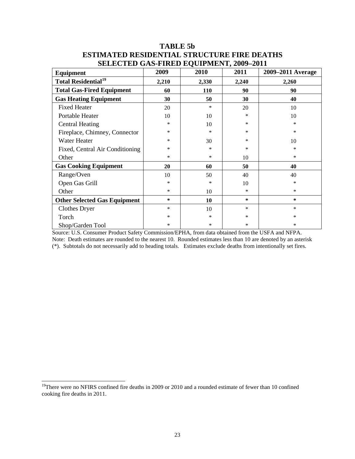| Equipment                             | 2009   | $2000$ $-0.10$ $-0.000$ $-0.000$ $-0.000$<br>2010 | 2011   | 2009–2011 Average |
|---------------------------------------|--------|---------------------------------------------------|--------|-------------------|
| <b>Total Residential<sup>19</sup></b> | 2,210  | 2,330                                             | 2,240  | 2,260             |
| <b>Total Gas-Fired Equipment</b>      | 60     | 110                                               | 90     | 90                |
| <b>Gas Heating Equipment</b>          | 30     | 50                                                | 30     | 40                |
| <b>Fixed Heater</b>                   | 20     | *                                                 | 20     | 10                |
| Portable Heater                       | 10     | 10                                                | *      | 10                |
| <b>Central Heating</b>                | ∗      | 10                                                | *      | ∗                 |
| Fireplace, Chimney, Connector         | *      | *                                                 | *      | *                 |
| Water Heater                          | *      | 30                                                | *      | 10                |
| Fixed, Central Air Conditioning       | *      | *                                                 | *      | *                 |
| Other                                 | *      | $\ast$                                            | 10     | *                 |
| <b>Gas Cooking Equipment</b>          | 20     | 60                                                | 50     | 40                |
| Range/Oven                            | 10     | 50                                                | 40     | 40                |
| Open Gas Grill                        | *      | *                                                 | 10     | $\ast$            |
| Other                                 | *      | 10                                                | $\ast$ | $\ast$            |
| <b>Other Selected Gas Equipment</b>   | $\ast$ | 10                                                | $\ast$ | *                 |
| <b>Clothes Dryer</b>                  | *      | 10                                                | $\ast$ | $\ast$            |
| Torch                                 | ∗      | *                                                 | $\ast$ | *                 |
| Shop/Garden Tool                      | *      | $\ast$                                            | $\ast$ | *                 |

## **TABLE 5b ESTIMATED RESIDENTIAL STRUCTURE FIRE DEATHS SELECTED GAS-FIRED EQUIPMENT, 2009–2011**

Source: U.S. Consumer Product Safety Commission/EPHA, from data obtained from the USFA and NFPA. Note: Death estimates are rounded to the nearest 10. Rounded estimates less than 10 are denoted by an asterisk (\*). Subtotals do not necessarily add to heading totals. Estimates exclude deaths from intentionally set fires.

<span id="page-23-0"></span> $19$ There were no NFIRS confined fire deaths in 2009 or 2010 and a rounded estimate of fewer than 10 confined cooking fire deaths in 2011.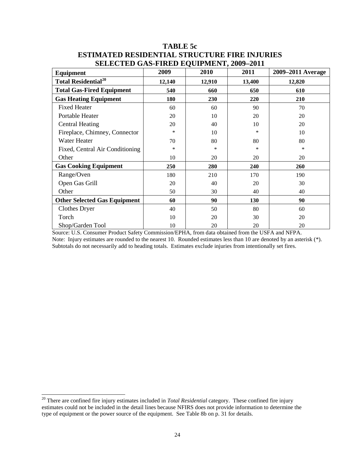| $\mu$<br>Equipment                    | 2009   | 2010       | 2011   | 2009–2011 Average |
|---------------------------------------|--------|------------|--------|-------------------|
| <b>Total Residential<sup>20</sup></b> | 12,140 | 12,910     | 13,400 | 12,820            |
| <b>Total Gas-Fired Equipment</b>      | 540    | 660        | 650    | 610               |
| <b>Gas Heating Equipment</b>          | 180    | <b>230</b> | 220    | 210               |
| <b>Fixed Heater</b>                   | 60     | 60         | 90     | 70                |
| Portable Heater                       | 20     | 10         | 20     | 20                |
| <b>Central Heating</b>                | 20     | 40         | 10     | 20                |
| Fireplace, Chimney, Connector         | $\ast$ | 10         | *      | 10                |
| Water Heater                          | 70     | 80         | 80     | 80                |
| Fixed, Central Air Conditioning       | *      | $\ast$     | *      | *                 |
| Other                                 | 10     | 20         | 20     | 20                |
| <b>Gas Cooking Equipment</b>          | 250    | 280        | 240    | 260               |
| Range/Oven                            | 180    | 210        | 170    | 190               |
| Open Gas Grill                        | 20     | 40         | 20     | 30                |
| Other                                 | 50     | 30         | 40     | 40                |
| <b>Other Selected Gas Equipment</b>   | 60     | 90         | 130    | 90                |
| Clothes Dryer                         | 40     | 50         | 80     | 60                |
| Torch                                 | 10     | 20         | 30     | 20                |
| Shop/Garden Tool                      | 10     | 20         | 20     | 20                |

## **TABLE 5c ESTIMATED RESIDENTIAL STRUCTURE FIRE INJURIES SELECTED GAS-FIRED EQUIPMENT, 2009–2011**

Source: U.S. Consumer Product Safety Commission/EPHA, from data obtained from the USFA and NFPA. Note: Injury estimates are rounded to the nearest 10. Rounded estimates less than 10 are denoted by an asterisk (\*). Subtotals do not necessarily add to heading totals. Estimates exclude injuries from intentionally set fires.

<span id="page-24-0"></span><sup>20</sup> There are confined fire injury estimates included in *Total Residential* category. These confined fire injury estimates could not be included in the detail lines because NFIRS does not provide information to determine the type of equipment or the power source of the equipment. See Table 8b on p. 31 for details.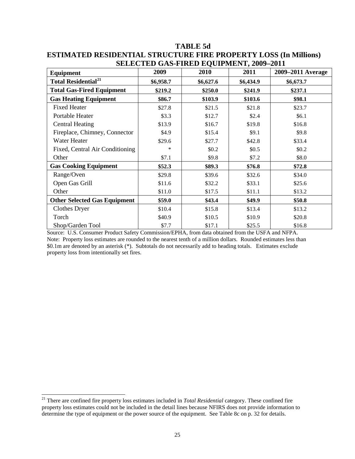|                                        |           | ЭЕГЕСТЕР САЭ-ГІКЕР ЕОСП МЕЛТ, 2007–2011 |           |                   |
|----------------------------------------|-----------|-----------------------------------------|-----------|-------------------|
| Equipment                              | 2009      | 2010                                    | 2011      | 2009–2011 Average |
| <b>Total Residential</b> <sup>21</sup> | \$6,958.7 | \$6,627.6                               | \$6,434.9 | \$6,673.7         |
| <b>Total Gas-Fired Equipment</b>       | \$219.2   | \$250.0                                 | \$241.9   | \$237.1           |
| <b>Gas Heating Equipment</b>           | \$86.7    | \$103.9                                 | \$103.6   | \$98.1            |
| <b>Fixed Heater</b>                    | \$27.8    | \$21.5                                  | \$21.8    | \$23.7            |
| Portable Heater                        | \$3.3     | \$12.7                                  | \$2.4     | \$6.1             |
| <b>Central Heating</b>                 | \$13.9    | \$16.7                                  | \$19.8    | \$16.8            |
| Fireplace, Chimney, Connector          | \$4.9     | \$15.4                                  | \$9.1     | \$9.8             |
| Water Heater                           | \$29.6    | \$27.7                                  | \$42.8    | \$33.4            |
| Fixed, Central Air Conditioning        | ∗         | \$0.2                                   | \$0.5     | \$0.2\$           |
| Other                                  | \$7.1     | \$9.8                                   | \$7.2     | \$8.0             |
| <b>Gas Cooking Equipment</b>           | \$52.3    | \$89.3                                  | \$76.8    | \$72.8            |
| Range/Oven                             | \$29.8    | \$39.6                                  | \$32.6    | \$34.0            |
| Open Gas Grill                         | \$11.6    | \$32.2                                  | \$33.1    | \$25.6            |
| Other                                  | \$11.0    | \$17.5                                  | \$11.1    | \$13.2            |
| <b>Other Selected Gas Equipment</b>    | \$59.0    | \$43.4                                  | \$49.9    | \$50.8            |
| Clothes Dryer                          | \$10.4    | \$15.8                                  | \$13.4    | \$13.2            |
| Torch                                  | \$40.9    | \$10.5                                  | \$10.9    | \$20.8            |
| Shop/Garden Tool                       | \$7.7     | \$17.1                                  | \$25.5    | \$16.8            |

## **TABLE 5d ESTIMATED RESIDENTIAL STRUCTURE FIRE PROPERTY LOSS (In Millions) SELECTED GAS-FIRED EQUIPMENT, 2009-2011**

Source: U.S. Consumer Product Safety Commission/EPHA, from data obtained from the USFA and NFPA. Note: Property loss estimates are rounded to the nearest tenth of a million dollars. Rounded estimates less than \$0.1m are denoted by an asterisk (\*). Subtotals do not necessarily add to heading totals. Estimates exclude property loss from intentionally set fires.

<span id="page-25-0"></span><sup>21</sup> There are confined fire property loss estimates included in *Total Residential* category. These confined fire property loss estimates could not be included in the detail lines because NFIRS does not provide information to determine the type of equipment or the power source of the equipment. See Table 8c on p. 32 for details.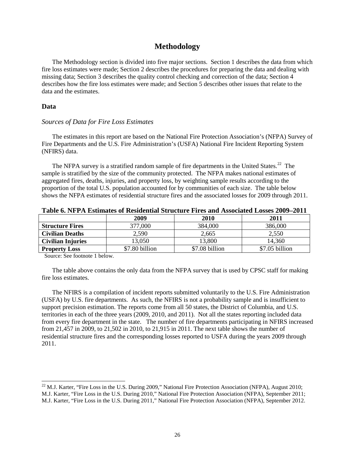#### **Methodology**

The Methodology section is divided into five major sections. Section 1 describes the data from which fire loss estimates were made; Section 2 describes the procedures for preparing the data and dealing with missing data; Section 3 describes the quality control checking and correction of the data; Section 4 describes how the fire loss estimates were made; and Section 5 describes other issues that relate to the data and the estimates.

#### **Data**

 $\overline{a}$ 

#### *Sources of Data for Fire Loss Estimates*

The estimates in this report are based on the National Fire Protection Association's (NFPA) Survey of Fire Departments and the U.S. Fire Administration's (USFA) National Fire Incident Reporting System (NFIRS) data.

The NFPA survey is a stratified random sample of fire departments in the United States.<sup>22</sup> The sample is stratified by the size of the community protected. The NFPA makes national estimates of aggregated fires, deaths, injuries, and property loss, by weighting sample results according to the proportion of the total U.S. population accounted for by communities of each size. The table below shows the NFPA estimates of residential structure fires and the associated losses for 2009 through 2011.

| ▲ WWAY VIA IA AA AANVAAANVYYY VA ANYMANYANA MATA WYYMAY A AA YM WAANV A AMM VAWYYY AN VMM YM AMV VY |                |                |                |  |  |  |
|-----------------------------------------------------------------------------------------------------|----------------|----------------|----------------|--|--|--|
|                                                                                                     | 2009           | 2010           | 2011           |  |  |  |
| <b>Structure Fires</b>                                                                              | 377,000        | 384,000        | 386,000        |  |  |  |
| <b>Civilian Deaths</b>                                                                              | 2,590          | 2,665          | 2,550          |  |  |  |
| <b>Civilian Injuries</b>                                                                            | 13,050         | 13,800         | 14,360         |  |  |  |
| <b>Property Loss</b>                                                                                | \$7.80 billion | \$7.08 billion | \$7.05 billion |  |  |  |

Source: See footnote 1 below.

The table above contains the only data from the NFPA survey that is used by CPSC staff for making fire loss estimates.

The NFIRS is a compilation of incident reports submitted voluntarily to the U.S. Fire Administration (USFA) by U.S. fire departments. As such, the NFIRS is not a probability sample and is insufficient to support precision estimation. The reports come from all 50 states, the District of Columbia, and U.S. territories in each of the three years (2009, 2010, and 2011). Not all the states reporting included data from every fire department in the state. The number of fire departments participating in NFIRS increased from 21,457 in 2009, to 21,502 in 2010, to 21,915 in 2011. The next table shows the number of residential structure fires and the corresponding losses reported to USFA during the years 2009 through 2011.

<span id="page-26-0"></span> $^{22}$  M.J. Karter, "Fire Loss in the U.S. During 2009," National Fire Protection Association (NFPA), August 2010; M.J. Karter, "Fire Loss in the U.S. During 2010," National Fire Protection Association (NFPA), September 2011;

M.J. Karter, "Fire Loss in the U.S. During 2011," National Fire Protection Association (NFPA), September 2012.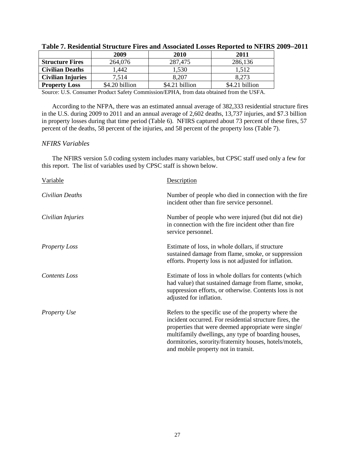|                          | 2009           | 2010           | 2011           |
|--------------------------|----------------|----------------|----------------|
| <b>Structure Fires</b>   | 264,076        | 287,475        | 286,136        |
| <b>Civilian Deaths</b>   | l.442          | 1,530          | 1.512          |
| <b>Civilian Injuries</b> | 7,514          | 8,207          | 8,273          |
| <b>Property Loss</b>     | \$4.20 billion | \$4.21 billion | \$4.21 billion |

Source: U.S. Consumer Product Safety Commission/EPHA, from data obtained from the USFA.

According to the NFPA, there was an estimated annual average of 382,333 residential structure fires in the U.S. during 2009 to 2011 and an annual average of 2,602 deaths, 13,737 injuries, and \$7.3 billion in property losses during that time period (Table 6). NFIRS captured about 73 percent of these fires, 57 percent of the deaths, 58 percent of the injuries, and 58 percent of the property loss (Table 7).

#### *NFIRS Variables*

The NFIRS version 5.0 coding system includes many variables, but CPSC staff used only a few for this report. The list of variables used by CPSC staff is shown below.

| Variable             | Description                                                                                                                                                                                                                                                                                                                      |
|----------------------|----------------------------------------------------------------------------------------------------------------------------------------------------------------------------------------------------------------------------------------------------------------------------------------------------------------------------------|
| Civilian Deaths      | Number of people who died in connection with the fire<br>incident other than fire service personnel.                                                                                                                                                                                                                             |
| Civilian Injuries    | Number of people who were injured (but did not die)<br>in connection with the fire incident other than fire<br>service personnel.                                                                                                                                                                                                |
| <b>Property Loss</b> | Estimate of loss, in whole dollars, if structure<br>sustained damage from flame, smoke, or suppression<br>efforts. Property loss is not adjusted for inflation.                                                                                                                                                                  |
| Contents Loss        | Estimate of loss in whole dollars for contents (which<br>had value) that sustained damage from flame, smoke,<br>suppression efforts, or otherwise. Contents loss is not<br>adjusted for inflation.                                                                                                                               |
| <b>Property Use</b>  | Refers to the specific use of the property where the<br>incident occurred. For residential structure fires, the<br>properties that were deemed appropriate were single/<br>multifamily dwellings, any type of boarding houses,<br>dormitories, sorority/fraternity houses, hotels/motels,<br>and mobile property not in transit. |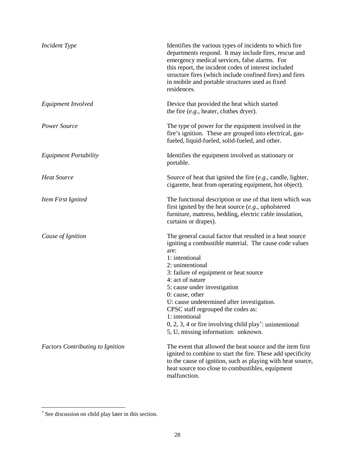| <b>Incident Type</b>                    | Identifies the various types of incidents to which fire<br>departments respond. It may include fires, rescue and<br>emergency medical services, false alarms. For<br>this report, the incident codes of interest included<br>structure fires (which include confined fires) and fires<br>in mobile and portable structures used as fixed<br>residences.                                                                                                                                                                  |
|-----------------------------------------|--------------------------------------------------------------------------------------------------------------------------------------------------------------------------------------------------------------------------------------------------------------------------------------------------------------------------------------------------------------------------------------------------------------------------------------------------------------------------------------------------------------------------|
| Equipment Involved                      | Device that provided the heat which started<br>the fire $(e.g.,)$ heater, clothes dryer).                                                                                                                                                                                                                                                                                                                                                                                                                                |
| Power Source                            | The type of power for the equipment involved in the<br>fire's ignition. These are grouped into electrical, gas-<br>fueled, liquid-fueled, solid-fueled, and other.                                                                                                                                                                                                                                                                                                                                                       |
| <b>Equipment Portability</b>            | Identifies the equipment involved as stationary or<br>portable.                                                                                                                                                                                                                                                                                                                                                                                                                                                          |
| <b>Heat Source</b>                      | Source of heat that ignited the fire $(e.g.,$ candle, lighter,<br>cigarette, heat from operating equipment, hot object).                                                                                                                                                                                                                                                                                                                                                                                                 |
| Item First Ignited                      | The functional description or use of that item which was<br>first ignited by the heat source $(e.g.,$ upholstered<br>furniture, mattress, bedding, electric cable insulation,<br>curtains or drapes).                                                                                                                                                                                                                                                                                                                    |
| Cause of Ignition                       | The general causal factor that resulted in a heat source<br>igniting a combustible material. The cause code values<br>are:<br>1: intentional<br>2: unintentional<br>3: failure of equipment or heat source<br>4: act of nature<br>5: cause under investigation<br>$0: \text{cause}, \text{other}$<br>U: cause undetermined after investigation.<br>CPSC staff regrouped the codes as:<br>1: intentional<br>$0, 2, 3, 4$ or fire involving child play <sup>*</sup> : unintentional<br>5, U, missing information: unknown. |
| <b>Factors Contributing to Ignition</b> | The event that allowed the heat source and the item first<br>ignited to combine to start the fire. These add specificity<br>to the cause of ignition, such as playing with heat source,<br>heat source too close to combustibles, equipment<br>malfunction.                                                                                                                                                                                                                                                              |

<span id="page-28-0"></span><sup>∗</sup> See discussion on child play later in this section.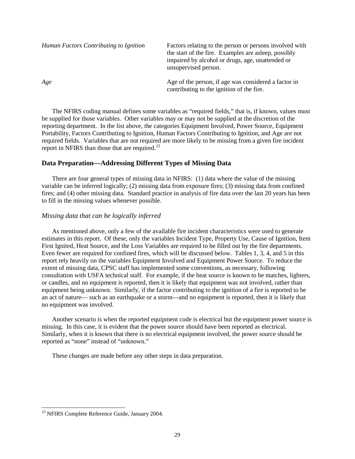| Human Factors Contributing to Ignition | Factors relating to the person or persons involved with<br>the start of the fire. Examples are asleep, possibly<br>impaired by alcohol or drugs, age, unattended or<br>unsupervised person. |
|----------------------------------------|---------------------------------------------------------------------------------------------------------------------------------------------------------------------------------------------|
| Age                                    | Age of the person, if age was considered a factor in<br>contributing to the ignition of the fire.                                                                                           |

The NFIRS coding manual defines some variables as "required fields," that is, if known, values must be supplied for those variables. Other variables may or may not be supplied at the discretion of the reporting department. In the list above, the categories Equipment Involved, Power Source, Equipment Portability, Factors Contributing to Ignition, Human Factors Contributing to Ignition, and Age are not required fields. Variables that are not required are more likely to be missing from a given fire incident report in NFIRS than those that are required.<sup>[23](#page-29-0)</sup>

#### **Data Preparation—Addressing Different Types of Missing Data**

There are four general types of missing data in NFIRS: (1) data where the value of the missing variable can be inferred logically; (2) missing data from exposure fires; (3) missing data from confined fires; and (4) other missing data. Standard practice in analysis of fire data over the last 20 years has been to fill in the missing values whenever possible.

#### *Missing data that can be logically inferred*

As mentioned above, only a few of the available fire incident characteristics were used to generate estimates in this report. Of these, only the variables Incident Type, Property Use, Cause of Ignition, Item First Ignited, Heat Source, and the Loss Variables are required to be filled out by the fire departments. Even fewer are required for confined fires, which will be discussed below. Tables 1, 3, 4, and 5 in this report rely heavily on the variables Equipment Involved and Equipment Power Source. To reduce the extent of missing data, CPSC staff has implemented some conventions, as necessary, following consultation with USFA technical staff. For example, if the heat source is known to be matches, lighters, or candles, and no equipment is reported, then it is likely that equipment was not involved, rather than equipment being unknown. Similarly, if the factor contributing to the ignition of a fire is reported to be an act of nature— such as an earthquake or a storm—and no equipment is reported, then it is likely that no equipment was involved.

 Another scenario is when the reported equipment code is electrical but the equipment power source is missing. In this case, it is evident that the power source should have been reported as electrical. Similarly, when it is known that there is no electrical equipment involved, the power source should be reported as "none" instead of "unknown."

These changes are made before any other steps in data preparation.

<span id="page-29-0"></span><sup>&</sup>lt;sup>23</sup> NFIRS Complete Reference Guide, January 2004.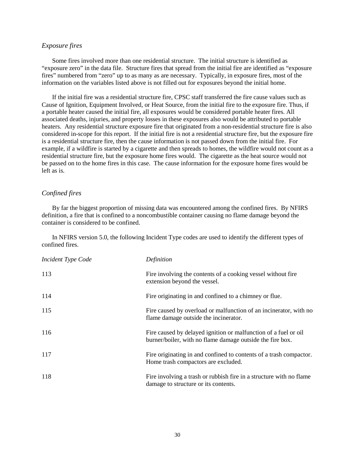#### *Exposure fires*

 Some fires involved more than one residential structure. The initial structure is identified as "exposure zero" in the data file. Structure fires that spread from the initial fire are identified as "exposure fires" numbered from "zero" up to as many as are necessary. Typically, in exposure fires, most of the information on the variables listed above is not filled out for exposures beyond the initial home.

If the initial fire was a residential structure fire, CPSC staff transferred the fire cause values such as Cause of Ignition, Equipment Involved, or Heat Source, from the initial fire to the exposure fire. Thus, if a portable heater caused the initial fire, all exposures would be considered portable heater fires. All associated deaths, injuries, and property losses in these exposures also would be attributed to portable heaters. Any residential structure exposure fire that originated from a non-residential structure fire is also considered in-scope for this report. If the initial fire is not a residential structure fire, but the exposure fire is a residential structure fire, then the cause information is not passed down from the initial fire. For example, if a wildfire is started by a cigarette and then spreads to homes, the wildfire would not count as a residential structure fire, but the exposure home fires would. The cigarette as the heat source would not be passed on to the home fires in this case. The cause information for the exposure home fires would be left as is.

#### *Confined fires*

 By far the biggest proportion of missing data was encountered among the confined fires. By NFIRS definition, a fire that is confined to a noncombustible container causing no flame damage beyond the container is considered to be confined.

 In NFIRS version 5.0, the following Incident Type codes are used to identify the different types of confined fires.

| <b>Incident Type Code</b> | Definition                                                                                                                   |
|---------------------------|------------------------------------------------------------------------------------------------------------------------------|
| 113                       | Fire involving the contents of a cooking vessel without fire<br>extension beyond the vessel.                                 |
| 114                       | Fire originating in and confined to a chimney or flue.                                                                       |
| 115                       | Fire caused by overload or malfunction of an incinerator, with no<br>flame damage outside the incinerator.                   |
| 116                       | Fire caused by delayed ignition or malfunction of a fuel or oil<br>burner/boiler, with no flame damage outside the fire box. |
| 117                       | Fire originating in and confined to contents of a trash compactor.<br>Home trash compactors are excluded.                    |
| 118                       | Fire involving a trash or rubbish fire in a structure with no flame<br>damage to structure or its contents.                  |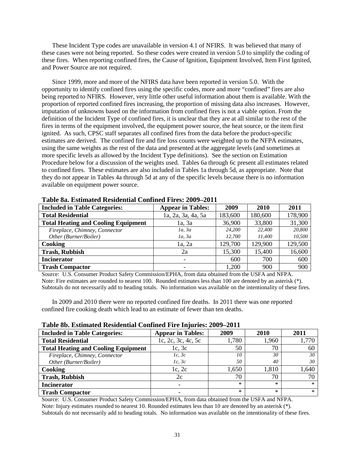These Incident Type codes are unavailable in version 4.1 of NFIRS. It was believed that many of these cases were not being reported. So these codes were created in version 5.0 to simplify the coding of these fires. When reporting confined fires, the Cause of Ignition, Equipment Involved, Item First Ignited, and Power Source are not required.

Since 1999, more and more of the NFIRS data have been reported in version 5.0. With the opportunity to identify confined fires using the specific codes, more and more "confined" fires are also being reported to NFIRS. However, very little other useful information about them is available. With the proportion of reported confined fires increasing, the proportion of missing data also increases. However, imputation of unknowns based on the information from confined fires is not a viable option. From the definition of the Incident Type of confined fires, it is unclear that they are at all similar to the rest of the fires in terms of the equipment involved, the equipment power source, the heat source, or the item first ignited. As such, CPSC staff separates all confined fires from the data before the product-specific estimates are derived. The confined fire and fire loss counts were weighted up to the NFPA estimates, using the same weights as the rest of the data and presented at the aggregate levels (and sometimes at more specific levels as allowed by the Incident Type definitions). See the section on Estimation Procedure below for a discussion of the weights used. Tables 6a through 6c present all estimates related to confined fires. These estimates are also included in Tables 1a through 5d, as appropriate. Note that they do not appear in Tables 4a through 5d at any of the specific levels because there is no information available on equipment power source.

| <b>Included in Table Categories:</b>       | <b>Appear in Tables:</b> | 2009    | 2010    | 2011    |
|--------------------------------------------|--------------------------|---------|---------|---------|
| <b>Total Residential</b>                   | 1a, 2a, 3a, 4a, 5a       | 183,600 | 180,600 | 178,900 |
| <b>Total Heating and Cooling Equipment</b> | 1a, 3a                   | 36,900  | 33,800  | 31,300  |
| Fireplace, Chimney, Connector              | 1a, 3a                   | 24,200  | 22,400  | 20,800  |
| Other (Burner/Boiler)                      | 1a, 3a                   | 12,700  | 11,400  | 10,500  |
| Cooking                                    | 1a, 2a                   | 129,700 | 129,900 | 129,500 |
| <b>Trash, Rubbish</b>                      | 2a                       | 15,300  | 15,400  | 16,600  |
| <b>Incinerator</b>                         |                          | 600     | 700     | 600     |
| <b>Trash Compactor</b>                     |                          | 1,200   | 900     | 900     |

**Table 8a. Estimated Residential Confined Fires: 2009–2011** 

Source: U.S. Consumer Product Safety Commission/EPHA, from data obtained from the USFA and NFPA. Note: Fire estimates are rounded to nearest 100. Rounded estimates less than 100 are denoted by an asterisk (\*). Subtotals do not necessarily add to heading totals. No information was available on the intentionality of these fires.

In 2009 and 2010 there were no reported confined fire deaths. In 2011 there was one reported confined fire cooking death which lead to an estimate of fewer than ten deaths.

| <b>Included in Table Categories:</b>       | <b>Appear in Tables:</b> | 2009  | 2010  | 2011   |
|--------------------------------------------|--------------------------|-------|-------|--------|
| <b>Total Residential</b>                   | 1c, 2c, 3c, 4c, 5c       | 1,780 | 1.960 | 1,770  |
| <b>Total Heating and Cooling Equipment</b> | 1c, 3c                   | 50    | 70    | 60     |
| Fireplace, Chimney, Connector              | 1c, 3c                   | 10    | 30    | 30     |
| Other (Burner/Boiler)                      | 1c, 3c                   | 50    | 40    | 30     |
| Cooking                                    | 1c, 2c                   | 1,650 | 1.810 | 640. ا |
| <b>Trash, Rubbish</b>                      | 2c                       | 70    | 70    |        |
| <b>Incinerator</b>                         |                          | $*$   | ж     | $\ast$ |
| <b>Trash Compactor</b>                     |                          | $*$   | *     | $\ast$ |

#### **Table 8b. Estimated Residential Confined Fire Injuries: 2009–2011**

Source: U.S. Consumer Product Safety Commission/EPHA, from data obtained from the USFA and NFPA. Note: Injury estimates rounded to nearest 10. Rounded estimates less than 10 are denoted by an asterisk (\*). Subtotals do not necessarily add to heading totals. No information was available on the intentionality of these fires.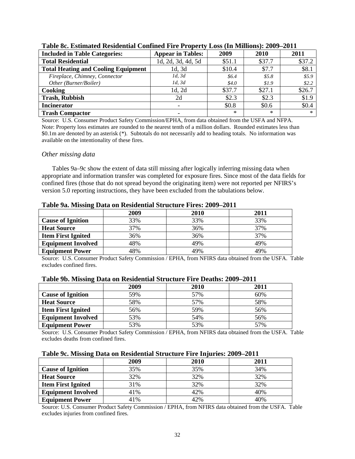| <b>Included in Table Categories:</b>       | <b>Appear in Tables:</b> | 2009   | 2010    | 2011   |
|--------------------------------------------|--------------------------|--------|---------|--------|
| <b>Total Residential</b>                   | 1d, 2d, 3d, 4d, 5d       | \$51.1 | \$37.7  | \$37.2 |
| <b>Total Heating and Cooling Equipment</b> | 1d.3d                    | \$10.4 | \$7.7   | \$8.1  |
| Fireplace, Chimney, Connector              | 1d, 3d                   | \$6.4  | \$5.8\$ | \$5.9  |
| Other (Burner/Boiler)                      | 1d, 3d                   | \$4.0  | \$1.9\$ | \$2.2  |
| Cooking                                    | 1d, 2d                   | \$37.7 | \$27.1  | \$26.7 |
| <b>Trash, Rubbish</b>                      | 2d                       | \$2.3  | \$2.3   | \$1.9  |
| <b>Incinerator</b>                         |                          | \$0.8  | \$0.6   | \$0.4  |
| <b>Trash Compactor</b>                     |                          | $\ast$ | $\ast$  | $\ast$ |

| Table 8c. Estimated Residential Confined Fire Property Loss (In Millions): 2009–2011 |  |
|--------------------------------------------------------------------------------------|--|
|--------------------------------------------------------------------------------------|--|

Source: U.S. Consumer Product Safety Commission/EPHA, from data obtained from the USFA and NFPA. Note: Property loss estimates are rounded to the nearest tenth of a million dollars. Rounded estimates less than \$0.1m are denoted by an asterisk (\*). Subtotals do not necessarily add to heading totals. No information was available on the intentionality of these fires.

#### *Other missing data*

Tables 9a–9c show the extent of data still missing after logically inferring missing data when appropriate and information transfer was completed for exposure fires. Since most of the data fields for confined fires (those that do not spread beyond the originating item) were not reported per NFIRS's version 5.0 reporting instructions, they have been excluded from the tabulations below.

|                           | 2009 | 2010 | 2011 |  |
|---------------------------|------|------|------|--|
| <b>Cause of Ignition</b>  | 33%  | 33%  | 33%  |  |
| <b>Heat Source</b>        | 37%  | 36%  | 37%  |  |
| <b>Item First Ignited</b> | 36%  | 36%  | 37%  |  |
| <b>Equipment Involved</b> | 48%  | 49%  | 49%  |  |
| <b>Equipment Power</b>    | 18%  | 49%  | 49%  |  |

**Table 9a. Missing Data on Residential Structure Fires: 2009–2011** 

Source: U.S. Consumer Product Safety Commission / EPHA, from NFIRS data obtained from the USFA. Table excludes confined fires.

| Table 9b. Missing Data on Residential Structure Fire Deaths: 2009–2011 |      |       |
|------------------------------------------------------------------------|------|-------|
| лллл                                                                   | 2010 | A A 1 |

|                           | 2009 | 2010 | 2011 |
|---------------------------|------|------|------|
| <b>Cause of Ignition</b>  | 59%  | 57%  | 60%  |
| <b>Heat Source</b>        | 58%  | 57%  | 58%  |
| <b>Item First Ignited</b> | 56%  | 59%  | 56%  |
| <b>Equipment Involved</b> | 53%  | 54%  | 56%  |
| <b>Equipment Power</b>    | 53%  | 53%  | 57%  |

Source: U.S. Consumer Product Safety Commission / EPHA, from NFIRS data obtained from the USFA. Table excludes deaths from confined fires.

|  |  |  | Table 9c. Missing Data on Residential Structure Fire Injuries: 2009-2011 |  |  |  |
|--|--|--|--------------------------------------------------------------------------|--|--|--|
|  |  |  |                                                                          |  |  |  |

|                           | 2009 | 2010 | 2011 |  |  |  |  |  |
|---------------------------|------|------|------|--|--|--|--|--|
| <b>Cause of Ignition</b>  | 35%  | 35%  | 34%  |  |  |  |  |  |
| <b>Heat Source</b>        | 32%  | 32%  | 32%  |  |  |  |  |  |
| <b>Item First Ignited</b> | 31%  | 32%  | 32%  |  |  |  |  |  |
| <b>Equipment Involved</b> | 41%  | 42%  | 40%  |  |  |  |  |  |
| <b>Equipment Power</b>    | 41%  | 42%  | 40%  |  |  |  |  |  |

Source: U.S. Consumer Product Safety Commission / EPHA, from NFIRS data obtained from the USFA. Table excludes injuries from confined fires.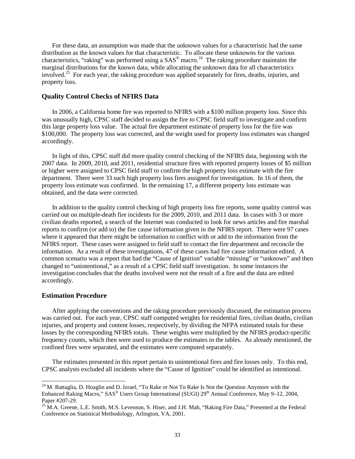For these data, an assumption was made that the unknown values for a characteristic had the same distribution as the known values for that characteristic. To allocate these unknowns for the various characteristics, "raking" was performed using a  $SAS^{\circledast}$  macro.<sup>24</sup> The raking procedure maintains the marginal distributions for the known data, while allocating the unknown data for all characteristics involved.<sup>25</sup> For each year, the raking procedure was applied separately for fires, deaths, injuries, and property loss.

#### **Quality Control Checks of NFIRS Data**

In 2006, a California home fire was reported to NFIRS with a \$100 million property loss. Since this was unusually high, CPSC staff decided to assign the fire to CPSC field staff to investigate and confirm this large property loss value. The actual fire department estimate of property loss for the fire was \$100,000. The property loss was corrected, and the weight used for property loss estimates was changed accordingly.

In light of this, CPSC staff did more quality control checking of the NFIRS data, beginning with the 2007 data. In 2009, 2010, and 2011, residential structure fires with reported property losses of \$5 million or higher were assigned to CPSC field staff to confirm the high property loss estimate with the fire department. There were 33 such high property loss fires assigned for investigation. In 16 of them, the property loss estimate was confirmed. In the remaining 17, a different property loss estimate was obtained, and the data were corrected.

In addition to the quality control checking of high property loss fire reports, some quality control was carried out on multiple-death fire incidents for the 2009, 2010, and 2011 data. In cases with 3 or more civilian deaths reported, a search of the Internet was conducted to look for news articles and fire marshal reports to confirm (or add to) the fire cause information given in the NFIRS report. There were 97 cases where it appeared that there might be information to conflict with or add to the information from the NFIRS report. These cases were assigned to field staff to contact the fire department and reconcile the information. As a result of these investigations, 47 of these cases had fire cause information edited. A common scenario was a report that had the "Cause of Ignition" variable "missing" or "unknown" and then changed to "unintentional," as a result of a CPSC field staff investigation. In some instances the investigation concludes that the deaths involved were not the result of a fire and the data are edited accordingly.

#### **Estimation Procedure**

 $\overline{a}$ 

After applying the conventions and the raking procedure previously discussed, the estimation process was carried out. For each year, CPSC staff computed weights for residential fires, civilian deaths, civilian injuries, and property and content losses, respectively, by dividing the NFPA estimated totals for these losses by the corresponding NFIRS totals. These weights were multiplied by the NFIRS product-specific frequency counts, which then were used to produce the estimates in the tables. As already mentioned, the confined fires were separated, and the estimates were computed separately.

The estimates presented in this report pertain to unintentional fires and fire losses only. To this end, CPSC analysts excluded all incidents where the "Cause of Ignition" could be identified as intentional.

<span id="page-33-0"></span> $24$  M. Battaglia, D. Hoaglin and D. Izrael, "To Rake or Not To Rake Is Not the Question Anymore with the Enhanced Raking Macro," SAS<sup>®</sup> Users Group International (SUGI) 29<sup>th</sup> Annual Conference, May 9–12, 2004, Paper #207-29.

<span id="page-33-1"></span> $^{25}$  M.A. Greene, L.E. Smith, M.S. Levenson, S. Hiser, and J.H. Mah, "Raking Fire Data," Presented at the Federal Conference on Statistical Methodology, Arlington, VA, 2001.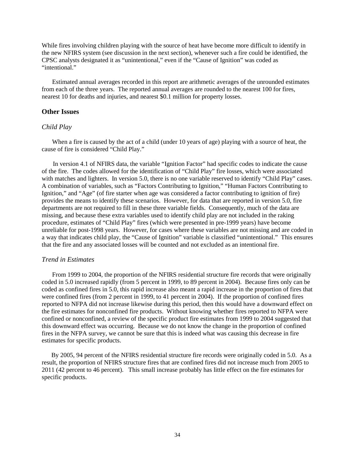While fires involving children playing with the source of heat have become more difficult to identify in the new NFIRS system (see discussion in the next section), whenever such a fire could be identified, the CPSC analysts designated it as "unintentional," even if the "Cause of Ignition" was coded as "intentional."

Estimated annual averages recorded in this report are arithmetic averages of the unrounded estimates from each of the three years. The reported annual averages are rounded to the nearest 100 for fires, nearest 10 for deaths and injuries, and nearest \$0.1 million for property losses.

#### **Other Issues**

#### *Child Play*

When a fire is caused by the act of a child (under 10 years of age) playing with a source of heat, the cause of fire is considered "Child Play."

 In version 4.1 of NFIRS data, the variable "Ignition Factor" had specific codes to indicate the cause of the fire. The codes allowed for the identification of "Child Play" fire losses, which were associated with matches and lighters. In version 5.0, there is no one variable reserved to identify "Child Play" cases. A combination of variables, such as "Factors Contributing to Ignition," "Human Factors Contributing to Ignition," and "Age" (of fire starter when age was considered a factor contributing to ignition of fire) provides the means to identify these scenarios. However, for data that are reported in version 5.0, fire departments are not required to fill in these three variable fields. Consequently, much of the data are missing, and because these extra variables used to identify child play are not included in the raking procedure, estimates of "Child Play" fires (which were presented in pre-1999 years) have become unreliable for post-1998 years. However, for cases where these variables are not missing and are coded in a way that indicates child play, the "Cause of Ignition" variable is classified "unintentional." This ensures that the fire and any associated losses will be counted and not excluded as an intentional fire.

#### *Trend in Estimates*

From 1999 to 2004, the proportion of the NFIRS residential structure fire records that were originally coded in 5.0 increased rapidly (from 5 percent in 1999, to 89 percent in 2004). Because fires only can be coded as confined fires in 5.0, this rapid increase also meant a rapid increase in the proportion of fires that were confined fires (from 2 percent in 1999, to 41 percent in 2004). If the proportion of confined fires reported to NFPA did not increase likewise during this period, then this would have a downward effect on the fire estimates for nonconfined fire products. Without knowing whether fires reported to NFPA were confined or nonconfined, a review of the specific product fire estimates from 1999 to 2004 suggested that this downward effect was occurring. Because we do not know the change in the proportion of confined fires in the NFPA survey, we cannot be sure that this is indeed what was causing this decrease in fire estimates for specific products.

 By 2005, 94 percent of the NFIRS residential structure fire records were originally coded in 5.0. As a result, the proportion of NFIRS structure fires that are confined fires did not increase much from 2005 to 2011 (42 percent to 46 percent). This small increase probably has little effect on the fire estimates for specific products.